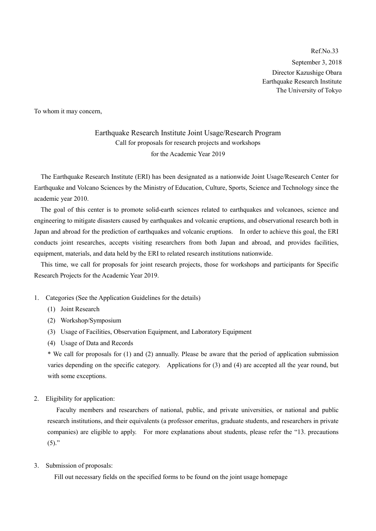Ref.No.33 September 3, 2018 Director Kazushige Obara Earthquake Research Institute The University of Tokyo

To whom it may concern,

Earthquake Research Institute Joint Usage/Research Program Call for proposals for research projects and workshops for the Academic Year 2019

 The Earthquake Research Institute (ERI) has been designated as a nationwide Joint Usage/Research Center for Earthquake and Volcano Sciences by the Ministry of Education, Culture, Sports, Science and Technology since the academic year 2010.

 The goal of this center is to promote solid-earth sciences related to earthquakes and volcanoes, science and engineering to mitigate disasters caused by earthquakes and volcanic eruptions, and observational research both in Japan and abroad for the prediction of earthquakes and volcanic eruptions. In order to achieve this goal, the ERI conducts joint researches, accepts visiting researchers from both Japan and abroad, and provides facilities, equipment, materials, and data held by the ERI to related research institutions nationwide.

 This time, we call for proposals for joint research projects, those for workshops and participants for Specific Research Projects for the Academic Year 2019.

- 1. Categories (See the Application Guidelines for the details)
	- (1) Joint Research
	- (2) Workshop/Symposium
	- (3) Usage of Facilities, Observation Equipment, and Laboratory Equipment
	- (4) Usage of Data and Records

\* We call for proposals for (1) and (2) annually. Please be aware that the period of application submission varies depending on the specific category. Applications for (3) and (4) are accepted all the year round, but with some exceptions.

2. Eligibility for application:

Faculty members and researchers of national, public, and private universities, or national and public research institutions, and their equivalents (a professor emeritus, graduate students, and researchers in private companies) are eligible to apply. For more explanations about students, please refer the "13. precautions  $(5)$ ."

3. Submission of proposals:

Fill out necessary fields on the specified forms to be found on the joint usage homepage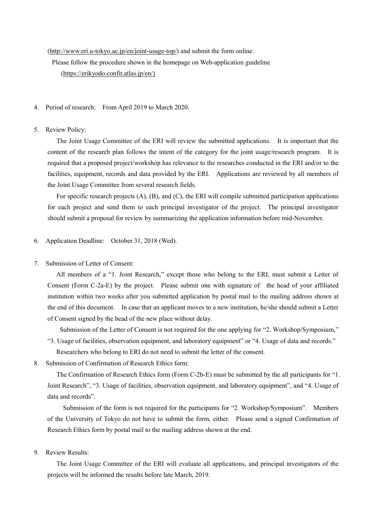#### [\(http://www.eri.u-tokyo.ac.jp/en/joint-usage-top/\)](http://www.eri.u-tokyo.ac.jp/en/joint-usage-top/) and submit the form online.

Please follow the procedure shown in the homepage on Web-application guideline [\(https://erikyodo.confit.atlas.jp/en/\)](https://erikyodo.confit.atlas.jp/en/)

- 4. Period of research: From April 2019 to March 2020.
- 5. Review Policy:

The Joint Usage Committee of the ERI will review the submitted applications. It is important that the content of the research plan follows the intent of the category for the joint usage/research program. It is required that a proposed project/workshop has relevance to the researches conducted in the ERI and/or to the facilities, equipment, records and data provided by the ERI. Applications are reviewed by all members of the Joint Usage Committee from several research fields.

For specific research projects (A), (B), and (C), the ERI will compile submitted participation applications for each project and send them to each principal investigator of the project. The principal investigator should submit a proposal for review by summarizing the application information before mid-November.

- 6. Application Deadline: October 31, 2018 (Wed).
- 7. Submission of Letter of Consent:

All members of a "1. Joint Research," except those who belong to the ERI, must submit a Letter of Consent (Form C-2a-E) by the project. Please submit one with signature of the head of your affiliated institution within two weeks after you submitted application by postal mail to the mailing address shown at the end of this document. In case that an applicant moves to a new institution, he/she should submit a Letter of Consent signed by the head of the new place without delay.

Submission of the Letter of Consent is not required for the one applying for "2. Workshop/Symposium,"

"3. Usage of facilities, observation equipment, and laboratory equipment" or "4. Usage of data and records."

Researchers who belong to ERI do not need to submit the letter of the consent.

8. Submission of Confirmation of Research Ethics form:

The Confirmation of Research Ethics form (Form C-2b-E) must be submitted by the all participants for "1. Joint Research", "3. Usage of facilities, observation equipment, and laboratory equipment", and "4. Usage of data and records".

 Submission of the form is not required for the participants for "2. Workshop/Symposium". Members of the University of Tokyo do not have to submit the form, either. Please send a signed Confirmation of Research Ethics form by postal mail to the mailing address shown at the end.

9. Review Results:

The Joint Usage Committee of the ERI will evaluate all applications, and principal investigators of the projects will be informed the results before late March, 2019.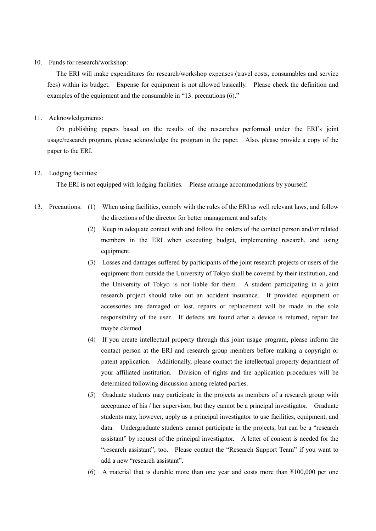#### 10. Funds for research/workshop:

The ERI will make expenditures for research/workshop expenses (travel costs, consumables and service fees) within its budget. Expense for equipment is not allowed basically. Please check the definition and examples of the equipment and the consumable in "13. precautions (6)."

#### 11. Acknowledgements:

On publishing papers based on the results of the researches performed under the ERI's joint usage/research program, please acknowledge the program in the paper. Also, please provide a copy of the paper to the ERI.

#### 12. Lodging facilities:

The ERI is not equipped with lodging facilities. Please arrange accommodations by yourself.

- 13. Precautions: (1) When using facilities, comply with the rules of the ERI as well relevant laws, and follow the directions of the director for better management and safety.
	- (2) Keep in adequate contact with and follow the orders of the contact person and/or related members in the ERI when executing budget, implementing research, and using equipment.
	- (3) Losses and damages suffered by participants of the joint research projects or users of the equipment from outside the University of Tokyo shall be covered by their institution, and the University of Tokyo is not liable for them. A student participating in a joint research project should take out an accident insurance. If provided equipment or accessories are damaged or lost, repairs or replacement will be made in the sole responsibility of the user. If defects are found after a device is returned, repair fee maybe claimed.
	- (4) If you create intellectual property through this joint usage program, please inform the contact person at the ERI and research group members before making a copyright or patent application. Additionally, please contact the intellectual property department of your affiliated institution. Division of rights and the application procedures will be determined following discussion among related parties.
	- (5) Graduate students may participate in the projects as members of a research group with acceptance of his / her supervisor, but they cannot be a principal investigator. Graduate students may, however, apply as a principal investigator to use facilities, equipment, and data. Undergraduate students cannot participate in the projects, but can be a "research assistant" by request of the principal investigator. A letter of consent is needed for the "research assistant", too. Please contact the "Research Support Team" if you want to add a new "research assistant".
	- (6) A material that is durable more than one year and costs more than ¥100,000 per one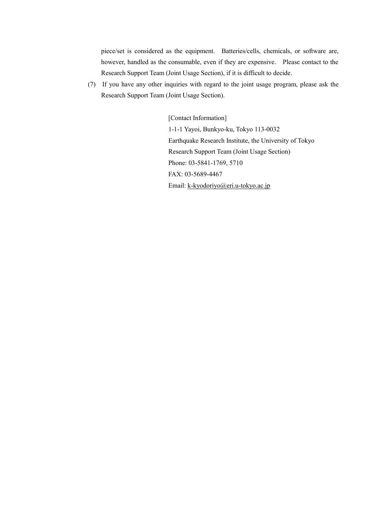piece/set is considered as the equipment. Batteries/cells, chemicals, or software are, however, handled as the consumable, even if they are expensive. Please contact to the Research Support Team (Joint Usage Section), if it is difficult to decide.

(7) If you have any other inquiries with regard to the joint usage program, please ask the Research Support Team (Joint Usage Section).

> [Contact Information] 1-1-1 Yayoi, Bunkyo-ku, Tokyo 113-0032 Earthquake Research Institute, the University of Tokyo Research Support Team (Joint Usage Section) Phone: 03-5841-1769, 5710 FAX: 03-5689-4467 Email: [k-kyodoriyo@eri.u-tokyo.ac.jp](mailto:k-kyodoriyo@eri.u-tokyo.ac.jp)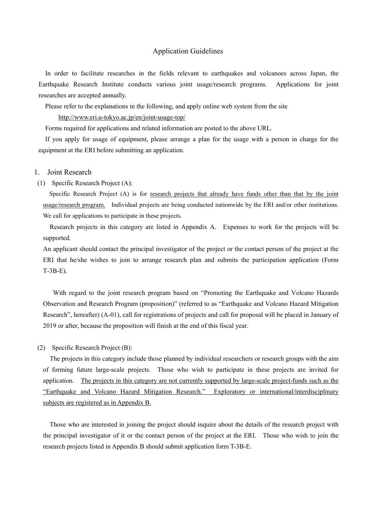#### Application Guidelines

 In order to facilitate researches in the fields relevant to earthquakes and volcanoes across Japan, the Earthquake Research Institute conducts various joint usage/research programs. Applications for joint researches are accepted annually.

Please refer to the explanations in the following, and apply online web system from the site

<http://www.eri.u-tokyo.ac.jp/en/joint-usage-top/>

Forms required for applications and related information are posted to the above URL.

 If you apply for usage of equipment, please arrange a plan for the usage with a person in charge for the equipment at the ERI before submitting an application.

#### 1. Joint Research

(1) Specific Research Project (A):

Specific Research Project (A) is for research projects that already have funds other than that by the joint [usage/research](http://www.eri.u-tokyo.ac.jp/wp-content/uploads/2017/08/H30_T-2A_E.pdf) program. Individual projects are being conducted nationwide by the ERI and/or other institutions. We call for applications to participate in these projects.

 Research projects in this category are listed in Appendix A. Expenses to work for the projects will be supported.

An applicant should contact the principal investigator of the project or the contact person of the project at the ERI that he/she wishes to join to arrange research plan and submits the participation application (Form T-3B-E).

 With regard to the joint research program based on "Promoting the Earthquake and Volcano Hazards Observation and Research Program (proposition)" (referred to as "Earthquake and Volcano Hazard Mitigation Research", hereafter) (A-01), call for registrations of projects and call for proposal will be placed in January of 2019 or after, because the proposition will finish at the end of this fiscal year.

#### (2) Specific Research Project (B):

 The projects in this category include those planned by individual researchers or research groups with the aim of forming future large-scale projects. Those who wish to participate in these projects are invited for application. The projects in this category are not currently [supported by large-scale project-funds](http://www.eri.u-tokyo.ac.jp/wp-content/uploads/2017/08/H30_T-2B_E.pdf) such as the "[Earthquake and Volcano Hazard Mitigation Research.](http://www.eri.u-tokyo.ac.jp/wp-content/uploads/2017/08/H30_T-2B_E.pdf)" Exploratory or international/interdisciplinary [subjects are registered as in Appendix B.](http://www.eri.u-tokyo.ac.jp/wp-content/uploads/2017/08/H30_T-2B_E.pdf)

 Those who are interested in joining the project should inquire about the details of the research project with the principal investigator of it or the contact person of the project at the ERI. Those who wish to join the research projects listed in Appendix B should submit application form T-3B-E.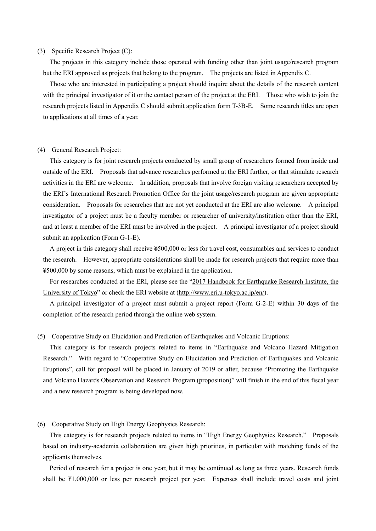#### (3) Specific Research Project (C):

 The projects in this category include those operated with funding other than joint usage/research program but the ERI approved as projects that belong to the program. The projects are listed in Appendix C.

 Those who are interested in participating a project should inquire about the details of the research content with the principal investigator of it or the contact person of the project at the ERI. Those who wish to join the research projects listed in Appendix C should submit application form T-3B-E. Some research titles are open to applications at all times of a year.

#### (4) General Research Project:

 This category is for joint research projects conducted by small group of researchers formed from inside and outside of the ERI. Proposals that advance researches performed at the ERI further, or that stimulate research activities in the ERI are welcome. In addition, proposals that involve foreign visiting researchers accepted by the ERI's International Research Promotion Office for the joint usage/research program are given appropriate consideration. Proposals for researches that are not yet conducted at the ERI are also welcome. A principal investigator of a project must be a faculty member or researcher of university/institution other than the ERI, and at least a member of the ERI must be involved in the project. A principal investigator of a project should submit an application (Form G-1-E).

 A project in this category shall receive ¥500,000 or less for travel cost, consumables and services to conduct the research. However, appropriate considerations shall be made for research projects that require more than ¥500,000 by some reasons, which must be explained in the application.

 For researches conducted at the ERI, please see the "[2017 Handbook for Earthquake Research Institute, the](http://www.eri.u-tokyo.ac.jp/en/publication/handbook-of-eri/)  [University of Tokyo](http://www.eri.u-tokyo.ac.jp/en/publication/handbook-of-eri/)" or check the ERI website at [\(http://www.eri.u-tokyo.ac.jp/en/\)](http://www.eri.u-tokyo.ac.jp/en/).

 A principal investigator of a project must submit a project report (Form G-2-E) within 30 days of the completion of the research period through the online web system.

#### (5) Cooperative Study on Elucidation and Prediction of Earthquakes and Volcanic Eruptions:

 This category is for research projects related to items in "Earthquake and Volcano Hazard Mitigation Research." With regard to "Cooperative Study on Elucidation and Prediction of Earthquakes and Volcanic Eruptions", call for proposal will be placed in January of 2019 or after, because "Promoting the Earthquake and Volcano Hazards Observation and Research Program (proposition)" will finish in the end of this fiscal year and a new research program is being developed now.

#### (6) Cooperative Study on High Energy Geophysics Research:

 This category is for research projects related to items in "High Energy Geophysics Research." Proposals based on industry-academia collaboration are given high priorities, in particular with matching funds of the applicants themselves.

 Period of research for a project is one year, but it may be continued as long as three years. Research funds shall be ¥1,000,000 or less per research project per year. Expenses shall include travel costs and joint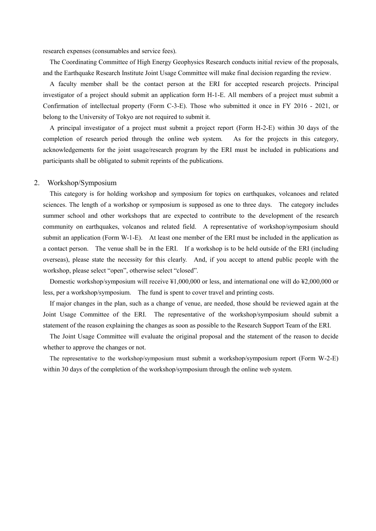research expenses (consumables and service fees).

 The Coordinating Committee of High Energy Geophysics Research conducts initial review of the proposals, and the Earthquake Research Institute Joint Usage Committee will make final decision regarding the review.

 A faculty member shall be the contact person at the ERI for accepted research projects. Principal investigator of a project should submit an application form H-1-E. All members of a project must submit a Confirmation of intellectual property (Form C-3-E). Those who submitted it once in FY 2016 - 2021, or belong to the University of Tokyo are not required to submit it.

 A principal investigator of a project must submit a project report (Form H-2-E) within 30 days of the completion of research period through the online web system. As for the projects in this category, acknowledgements for the joint usage/research program by the ERI must be included in publications and participants shall be obligated to submit reprints of the publications.

#### 2. Workshop/Symposium

 This category is for holding workshop and symposium for topics on earthquakes, volcanoes and related sciences. The length of a workshop or symposium is supposed as one to three days. The category includes summer school and other workshops that are expected to contribute to the development of the research community on earthquakes, volcanos and related field. A representative of workshop/symposium should submit an application (Form W-1-E). At least one member of the ERI must be included in the application as a contact person. The venue shall be in the ERI. If a workshop is to be held outside of the ERI (including overseas), please state the necessity for this clearly. And, if you accept to attend public people with the workshop, please select "open", otherwise select "closed".

 Domestic workshop/symposium will receive ¥1,000,000 or less, and international one will do ¥2,000,000 or less, per a workshop/symposium. The fund is spent to cover travel and printing costs.

 If major changes in the plan, such as a change of venue, are needed, those should be reviewed again at the Joint Usage Committee of the ERI. The representative of the workshop/symposium should submit a statement of the reason explaining the changes as soon as possible to the Research Support Team of the ERI.

 The Joint Usage Committee will evaluate the original proposal and the statement of the reason to decide whether to approve the changes or not.

 The representative to the workshop/symposium must submit a workshop/symposium report (Form W-2-E) within 30 days of the completion of the workshop/symposium through the online web system.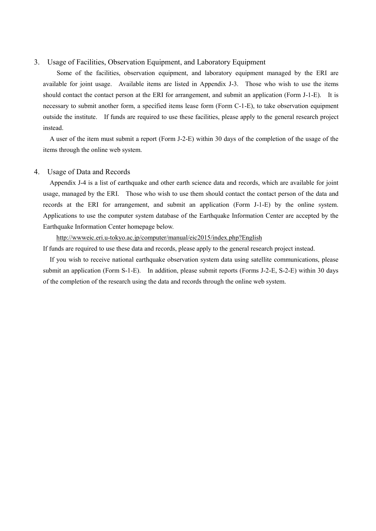#### 3. Usage of Facilities, Observation Equipment, and Laboratory Equipment

 Some of the facilities, observation equipment, and laboratory equipment managed by the ERI are available for joint usage. Available items are listed in Appendix J-3. Those who wish to use the items should contact the contact person at the ERI for arrangement, and submit an application (Form J-1-E). It is necessary to submit another form, a specified items lease form (Form C-1-E), to take observation equipment outside the institute. If funds are required to use these facilities, please apply to the general research project instead.

 A user of the item must submit a report (Form J-2-E) within 30 days of the completion of the usage of the items through the online web system.

#### 4. Usage of Data and Records

 Appendix J-4 is a list of earthquake and other earth science data and records, which are available for joint usage, managed by the ERI. Those who wish to use them should contact the contact person of the data and records at the ERI for arrangement, and submit an application (Form J-1-E) by the online system. Applications to use the computer system database of the Earthquake Information Center are accepted by the Earthquake Information Center homepage below.

 <http://wwweic.eri.u-tokyo.ac.jp/computer/manual/eic2015/index.php?English> If funds are required to use these data and records, please apply to the general research project instead.

 If you wish to receive national earthquake observation system data using satellite communications, please submit an application (Form S-1-E). In addition, please submit reports (Forms J-2-E, S-2-E) within 30 days of the completion of the research using the data and records through the online web system.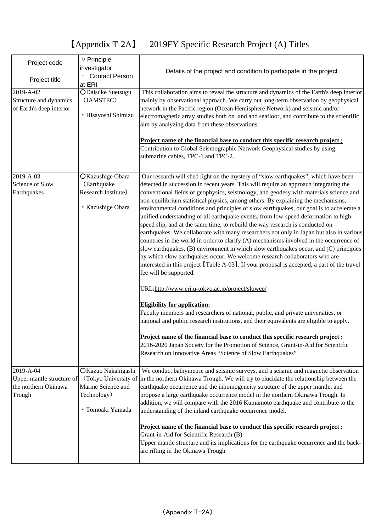# 【Appendix T-2A】 2019FY Specific Research Project (A) Titles

| Project code              | O Principle<br>investigator     | Details of the project and condition to participate in the project                                                                                                                                                                                                                                                                                                                                                                                                                                                                                                                                                                                                                                                                                                                                                                         |
|---------------------------|---------------------------------|--------------------------------------------------------------------------------------------------------------------------------------------------------------------------------------------------------------------------------------------------------------------------------------------------------------------------------------------------------------------------------------------------------------------------------------------------------------------------------------------------------------------------------------------------------------------------------------------------------------------------------------------------------------------------------------------------------------------------------------------------------------------------------------------------------------------------------------------|
| Project title             | <b>Contact Person</b><br>at ERI |                                                                                                                                                                                                                                                                                                                                                                                                                                                                                                                                                                                                                                                                                                                                                                                                                                            |
| 2019-A-02                 | <b>ODaisuke Suetsugu</b>        | This collaboration aims to reveal the structure and dynamics of the Earth's deep interior                                                                                                                                                                                                                                                                                                                                                                                                                                                                                                                                                                                                                                                                                                                                                  |
| Structure and dynamics    | (JAMSTEC)                       | mainly by observational approach. We carry out long-term observation by geophysical                                                                                                                                                                                                                                                                                                                                                                                                                                                                                                                                                                                                                                                                                                                                                        |
| of Earth's deep interior  | · Hisayoshi Shimizu             | network in the Pacific region (Ocean Hemisphere Network) and seismic and/or<br>electromagnetic array studies both on land and seafloor, and contribute to the scientific<br>aim by analyzing data from these observations.                                                                                                                                                                                                                                                                                                                                                                                                                                                                                                                                                                                                                 |
|                           |                                 |                                                                                                                                                                                                                                                                                                                                                                                                                                                                                                                                                                                                                                                                                                                                                                                                                                            |
|                           |                                 | Project name of the financial base to conduct this specific research project:<br>Contribution to Global Seismographic Network Geophysical studies by using<br>submarine cables, TPC-1 and TPC-2.                                                                                                                                                                                                                                                                                                                                                                                                                                                                                                                                                                                                                                           |
| 2019-A-03                 | OKazushige Obara                | Our research will shed light on the mystery of "slow earthquakes", which have been                                                                                                                                                                                                                                                                                                                                                                                                                                                                                                                                                                                                                                                                                                                                                         |
| Science of Slow           | (Earthquake                     | detected in succession in recent years. This will require an approach integrating the                                                                                                                                                                                                                                                                                                                                                                                                                                                                                                                                                                                                                                                                                                                                                      |
| Earthquakes               | Research Institute)             | conventional fields of geophysics, seismology, and geodesy with materials science and                                                                                                                                                                                                                                                                                                                                                                                                                                                                                                                                                                                                                                                                                                                                                      |
|                           | · Kazushige Obara               | non-equilibrium statistical physics, among others. By explaining the mechanisms,<br>environmental conditions and principles of slow earthquakes, our goal is to accelerate a<br>unified understanding of all earthquake events, from low-speed deformation to high-<br>speed slip, and at the same time, to rebuild the way research is conducted on<br>earthquakes. We collaborate with many researchers not only in Japan but also in various<br>countries in the world in order to clarify (A) mechanisms involved in the occurrence of<br>slow earthquakes, (B) environment in which slow earthquakes occur, and (C) principles<br>by which slow earthquakes occur. We welcome research collaborators who are<br>interested in this project [Table A-03]. If your proposal is accepted, a part of the travel<br>fee will be supported. |
|                           |                                 | URL:http://www.eri.u-tokyo.ac.jp/project/sloweq/                                                                                                                                                                                                                                                                                                                                                                                                                                                                                                                                                                                                                                                                                                                                                                                           |
|                           |                                 | <b>Eligibility for application:</b>                                                                                                                                                                                                                                                                                                                                                                                                                                                                                                                                                                                                                                                                                                                                                                                                        |
|                           |                                 | Faculty members and researchers of national, public, and private universities, or<br>national and public research institutions, and their equivalents are eligible to apply.                                                                                                                                                                                                                                                                                                                                                                                                                                                                                                                                                                                                                                                               |
|                           |                                 | Project name of the financial base to conduct this specific research project :<br>2016-2020 Japan Society for the Promotion of Science, Grant-in-Aid for Scientific<br>Research on Innovative Areas "Science of Slow Earthquakes"                                                                                                                                                                                                                                                                                                                                                                                                                                                                                                                                                                                                          |
| 2019-A-04                 | OKazuo Nakahigashi              | We conduct bathymetric and seismic surveys, and a seismic and magnetic observation                                                                                                                                                                                                                                                                                                                                                                                                                                                                                                                                                                                                                                                                                                                                                         |
| Upper mantle structure of |                                 | (Tokyo University of in the northern Okinawa Trough. We will try to elucidate the relationship between the                                                                                                                                                                                                                                                                                                                                                                                                                                                                                                                                                                                                                                                                                                                                 |
| the northern Okinawa      | Marine Science and              | earthquake occurrence and the inhomogeneity structure of the upper mantle, and                                                                                                                                                                                                                                                                                                                                                                                                                                                                                                                                                                                                                                                                                                                                                             |
| Trough                    | Technology)                     | propose a large earthquake occurrence model in the northern Okinawa Trough. In                                                                                                                                                                                                                                                                                                                                                                                                                                                                                                                                                                                                                                                                                                                                                             |
|                           | · Tomoaki Yamada                | addition, we will compare with the 2016 Kumamoto earthquake and contribute to the<br>understanding of the inland earthquake occurrence model.                                                                                                                                                                                                                                                                                                                                                                                                                                                                                                                                                                                                                                                                                              |
|                           |                                 | Project name of the financial base to conduct this specific research project:                                                                                                                                                                                                                                                                                                                                                                                                                                                                                                                                                                                                                                                                                                                                                              |
|                           |                                 | Grant-in-Aid for Scientific Research (B)                                                                                                                                                                                                                                                                                                                                                                                                                                                                                                                                                                                                                                                                                                                                                                                                   |
|                           |                                 | Upper mantle structure and its implications for the earthquake occurrence and the back-<br>arc rifting in the Okinawa Trough                                                                                                                                                                                                                                                                                                                                                                                                                                                                                                                                                                                                                                                                                                               |
|                           |                                 |                                                                                                                                                                                                                                                                                                                                                                                                                                                                                                                                                                                                                                                                                                                                                                                                                                            |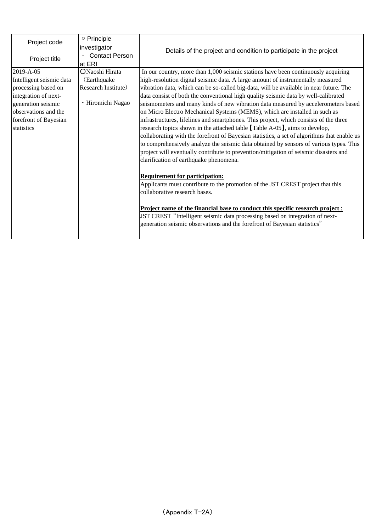| Project code             | ○ Principle           |                                                                                             |
|--------------------------|-----------------------|---------------------------------------------------------------------------------------------|
|                          | investigator          | Details of the project and condition to participate in the project                          |
| Project title            | <b>Contact Person</b> |                                                                                             |
|                          | at ERI                |                                                                                             |
| 2019-A-05                | ONaoshi Hirata        | In our country, more than 1,000 seismic stations have been continuously acquiring           |
| Intelligent seismic data | (Earthquake)          | high-resolution digital seismic data. A large amount of instrumentally measured             |
| processing based on      | Research Institute)   | vibration data, which can be so-called big-data, will be available in near future. The      |
| integration of next-     |                       | data consist of both the conventional high quality seismic data by well-calibrated          |
| generation seismic       | · Hiromichi Nagao     | seismometers and many kinds of new vibration data measured by accelerometers based          |
| observations and the     |                       | on Micro Electro Mechanical Systems (MEMS), which are installed in such as                  |
| forefront of Bayesian    |                       | infrastructures, lifelines and smartphones. This project, which consists of the three       |
| statistics               |                       | research topics shown in the attached table [Table A-05], aims to develop,                  |
|                          |                       | collaborating with the forefront of Bayesian statistics, a set of algorithms that enable us |
|                          |                       | to comprehensively analyze the seismic data obtained by sensors of various types. This      |
|                          |                       | project will eventually contribute to prevention/mitigation of seismic disasters and        |
|                          |                       | clarification of earthquake phenomena.                                                      |
|                          |                       |                                                                                             |
|                          |                       | <b>Requirement for participation:</b>                                                       |
|                          |                       | Applicants must contribute to the promotion of the JST CREST project that this              |
|                          |                       | collaborative research bases.                                                               |
|                          |                       |                                                                                             |
|                          |                       | <u>Project name of the financial base to conduct this specific research project:</u>        |
|                          |                       | JST CREST "Intelligent seismic data processing based on integration of next-                |
|                          |                       | generation seismic observations and the forefront of Bayesian statistics"                   |
|                          |                       |                                                                                             |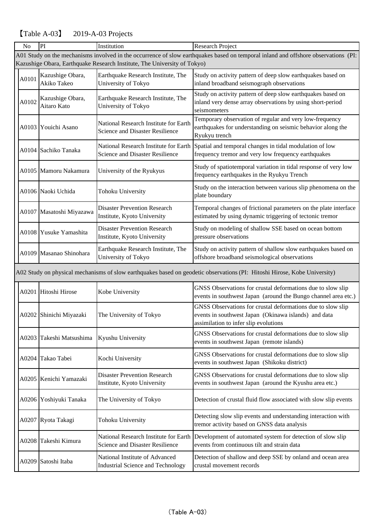#### PI Institution Research Project A0101 Kazushige Obara, Akiko Takeo Earthquake Research Institute, The University of Tokyo Study on activity pattern of deep slow earthquakes based on inland broadband seismograph observations A0102 Kazushige Obara, Aitaro Kato Earthquake Research Institute, The University of Tokyo Study on activity pattern of deep slow earthquakes based on inland very dense array observations by using short-period seismometers A0103 Youichi Asano National Research Institute for Earth Science and Disaster Resilience Temporary observation of regular and very low-frequency earthquakes for understanding on seismic behavior along the Ryukyu trench A0104 Sachiko Tanaka National Research Institute for Earth Science and Disaster Resilience Spatial and temporal changes in tidal modulation of low frequency tremor and very low frequency earthquakes A0105 Mamoru Nakamura University of the Ryukyus Study of spatiotemporal variation in tidal response of very low frequency earthquakes in the Ryukyu Trench A0106 Naoki Uchida Tohoku University Study on the interaction between various slip phenomena on the plate boundary A0107 Masatoshi Miyazawa Disaster Prevention Research Institute, Kyoto University Temporal changes of frictional parameters on the plate interface estimated by using dynamic triggering of tectonic tremor A0108 Yusuke Yamashita Disaster Prevention Research Institute, Kyoto University Study on modeling of shallow SSE based on ocean bottom pressure observations A0109 Masanao Shinohara Earthquake Research Institute, The University of Tokyo Study on activity pattern of shallow slow earthquakes based on offshore broadband seismological observations A0201 Hitoshi Hirose Kobe University GNSS Observations for crustal deformations due to slow slip events in southwest Japan (around the Bungo channel area etc.) A0202 Shinichi Miyazaki The University of Tokyo GNSS Observations for crustal deformations due to slow slip events in southwest Japan (Okinawa islands) and data assimilation to infer slip evolutions A0203 Takeshi Matsushima Kyushu University GNSS Observations for crustal deformations due to slow slip events in southwest Japan (remote islands) A0204 Takao Tabei Kochi University GNSS Observations for crustal deformations due to slow slip events in southwest Japan (Shikoku district) A0205 Kenichi Yamazaki Disaster Prevention Research Institute, Kyoto University GNSS Observations for crustal deformations due to slow slip events in southwest Japan (around the Kyushu area etc.) A0206 Yoshiyuki Tanaka The University of Tokyo Detection of crustal fluid flow associated with slow slip events A0207 Ryota Takagi Tohoku University Detecting slow slip events and understanding interaction with tremor activity based on GNSS data analysis A0208 Takeshi Kimura National Research Institute for Earth Science and Disaster Resilience Development of automated system for detection of slow slip events from continuous tilt and strain data A0209 Satoshi Itaba National Institute of Advanced Industrial Science and Technology Detection of shallow and deep SSE by onland and ocean area crustal movement records A01 Study on the mechanisms involved in the occurrence of slow earthquakes based on temporal inland and offshore observations (PI: Kazushige Obara, Earthquake Research Institute, The University of Tokyo) No A02 Study on physical mechanisms of slow earthquakes based on geodetic observations (PI: Hitoshi Hirose, Kobe University)

### 【Table A-03】 2019-A-03 Projects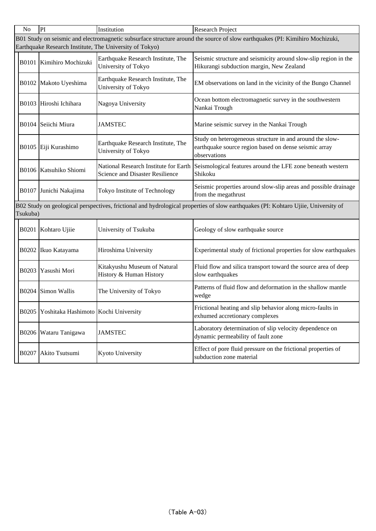| N <sub>o</sub>                                                                                                                                                                          | PI                                   | Institution                                                                     | Research Project                                                                                                                  |  |  |
|-----------------------------------------------------------------------------------------------------------------------------------------------------------------------------------------|--------------------------------------|---------------------------------------------------------------------------------|-----------------------------------------------------------------------------------------------------------------------------------|--|--|
| B01 Study on seismic and electromagnetic subsurface structure around the source of slow earthquakes (PI: Kimihiro Mochizuki,<br>Earthquake Research Institute, The University of Tokyo) |                                      |                                                                                 |                                                                                                                                   |  |  |
|                                                                                                                                                                                         | B0101 Kimihiro Mochizuki             | Earthquake Research Institute, The<br>University of Tokyo                       | Seismic structure and seismicity around slow-slip region in the<br>Hikurangi subduction margin, New Zealand                       |  |  |
|                                                                                                                                                                                         | B0102 Makoto Uyeshima                | Earthquake Research Institute, The<br>University of Tokyo                       | EM observations on land in the vicinity of the Bungo Channel                                                                      |  |  |
|                                                                                                                                                                                         | B0103 Hiroshi Ichihara               | Nagoya University                                                               | Ocean bottom electromagnetic survey in the southwestern<br>Nankai Trough                                                          |  |  |
|                                                                                                                                                                                         | B0104 Seiichi Miura                  | <b>JAMSTEC</b>                                                                  | Marine seismic survey in the Nankai Trough                                                                                        |  |  |
|                                                                                                                                                                                         | B0105 Eiji Kurashimo                 | Earthquake Research Institute, The<br>University of Tokyo                       | Study on heterogeneous structure in and around the slow-<br>earthquake source region based on dense seismic array<br>observations |  |  |
|                                                                                                                                                                                         | B0106 Katsuhiko Shiomi               | National Research Institute for Earth<br><b>Science and Disaster Resilience</b> | Seismological features around the LFE zone beneath western<br>Shikoku                                                             |  |  |
| <b>B0107</b>                                                                                                                                                                            | Junichi Nakajima                     | Tokyo Institute of Technology                                                   | Seismic properties around slow-slip areas and possible drainage<br>from the megathrust                                            |  |  |
| B02 Study on geological perspectives, frictional and hydrological properties of slow earthquakes (PI: Kohtaro Ujiie, University of<br>Tsukuba)                                          |                                      |                                                                                 |                                                                                                                                   |  |  |
|                                                                                                                                                                                         | B0201 Kohtaro Ujiie                  | University of Tsukuba                                                           | Geology of slow earthquake source                                                                                                 |  |  |
| B0202                                                                                                                                                                                   | Ikuo Katayama                        | Hiroshima University                                                            | Experimental study of frictional properties for slow earthquakes                                                                  |  |  |
| <b>B0203</b>                                                                                                                                                                            | Yasushi Mori                         | Kitakyushu Museum of Natural<br>History & Human History                         | Fluid flow and silica transport toward the source area of deep<br>slow earthquakes                                                |  |  |
| <b>B0204</b>                                                                                                                                                                            | Simon Wallis                         | The University of Tokyo                                                         | Patterns of fluid flow and deformation in the shallow mantle<br>wedge                                                             |  |  |
| B0205                                                                                                                                                                                   | Yoshitaka Hashimoto Kochi University |                                                                                 | Frictional heating and slip behavior along micro-faults in<br>exhumed accretionary complexes                                      |  |  |
| <b>B0206</b>                                                                                                                                                                            | Wataru Tanigawa                      | <b>JAMSTEC</b>                                                                  | Laboratory determination of slip velocity dependence on<br>dynamic permeability of fault zone                                     |  |  |
| B0207                                                                                                                                                                                   | Akito Tsutsumi                       | Kyoto University                                                                | Effect of pore fluid pressure on the frictional properties of<br>subduction zone material                                         |  |  |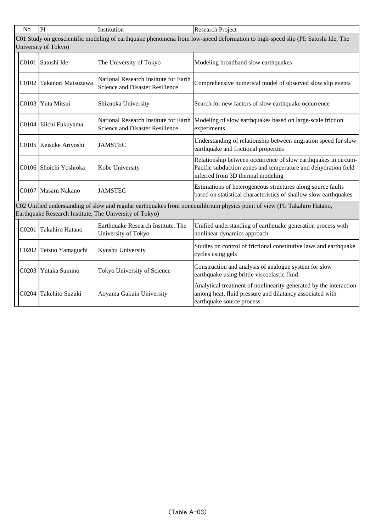| N <sub>o</sub> | PI                                                                                                                                                                                   | Institution                                                              | <b>Research Project</b>                                                                                                                                               |  |  |  |
|----------------|--------------------------------------------------------------------------------------------------------------------------------------------------------------------------------------|--------------------------------------------------------------------------|-----------------------------------------------------------------------------------------------------------------------------------------------------------------------|--|--|--|
|                | C01 Study on geoscientific modeling of earthquake phenomena from low-speed deformation to high-speed slip (PI: Satoshi Ide, The<br>University of Tokyo)                              |                                                                          |                                                                                                                                                                       |  |  |  |
|                | C0101 Satoshi Ide                                                                                                                                                                    | The University of Tokyo                                                  | Modeling broadband slow earthquakes                                                                                                                                   |  |  |  |
| C0102          | Takanori Matsuzawa                                                                                                                                                                   | National Research Institute for Earth<br>Science and Disaster Resilience | Comprehensive numerical model of observed slow slip events                                                                                                            |  |  |  |
| C0103          | Yuta Mitsui                                                                                                                                                                          | Shizuoka University                                                      | Search for new factors of slow earthquake occurrence                                                                                                                  |  |  |  |
|                | C0104 Eiichi Fukuyama                                                                                                                                                                | National Research Institute for Earth<br>Science and Disaster Resilience | Modeling of slow earthquakes based on large-scale friction<br>experiments                                                                                             |  |  |  |
|                | C0105 Keisuke Ariyoshi                                                                                                                                                               | <b>JAMSTEC</b>                                                           | Understanding of relationship between migration speed for slow<br>earthquake and frictional properties                                                                |  |  |  |
|                | C0106 Shoichi Yoshioka                                                                                                                                                               | Kobe University                                                          | Relationship between occurrence of slow earthquakes in circum-<br>Pacific subduction zones and temperature and dehydration field<br>inferred from 3D thermal modeling |  |  |  |
|                | C0107 Masaru Nakano                                                                                                                                                                  | <b>JAMSTEC</b>                                                           | Estimations of heterogeneous structures along source faults<br>based on statistical characteristics of shallow slow earthquakes                                       |  |  |  |
|                | C02 Unified understanding of slow and regular earthquakes from nonequilibrium physics point of view (PI: Takahiro Hatano,<br>Earthquake Research Institute, The University of Tokyo) |                                                                          |                                                                                                                                                                       |  |  |  |
| C0201          | Takahiro Hatano                                                                                                                                                                      | Earthquake Research Institute, The<br>University of Tokyo                | Unified understanding of earthquake generation process with<br>nonlinear dynamics approach                                                                            |  |  |  |
| C0202          | Tetsuo Yamaguchi                                                                                                                                                                     | Kyushu University                                                        | Studies on control of frictional constitutive laws and earthquake<br>cycles using gels                                                                                |  |  |  |
| C0203          | Yutaka Sumino                                                                                                                                                                        | Tokyo University of Science                                              | Construction and analysis of analogue system for slow<br>earthquake using brittle viscoelastic fluid.                                                                 |  |  |  |
| C0204          | Takehito Suzuki                                                                                                                                                                      | Aoyama Gakuin University                                                 | Analytical treatment of nonlinearity generated by the interaction<br>among heat, fluid pressure and dilatancy associated with<br>earthquake source process            |  |  |  |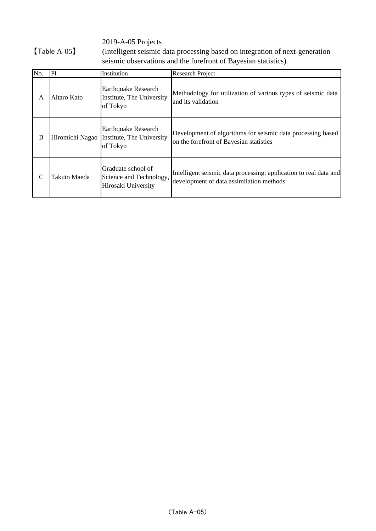2019-A-05 Projects

【Table A-05】

(Intelligent seismic data processing based on integration of next-generation seismic observations and the forefront of Bayesian statistics)

| No. | PI              | Institution                                                          | <b>Research Project</b>                                                                                       |
|-----|-----------------|----------------------------------------------------------------------|---------------------------------------------------------------------------------------------------------------|
| A   | Aitaro Kato     | <b>Earthquake Research</b><br>Institute, The University<br>of Tokyo  | Methodology for utilization of various types of seismic data<br>and its validation                            |
| B   | Hiromichi Nagao | <b>Earthquake Research</b><br>Institute, The University<br>of Tokyo  | Development of algorithms for seismic data processing based<br>on the forefront of Bayesian statistics        |
| C   | Takuto Maeda    | Graduate school of<br>Science and Technology,<br>Hirosaki University | Intelligent seismic data processing: application to real data and<br>development of data assimilation methods |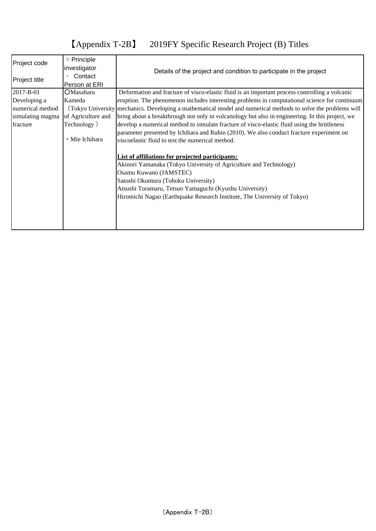## 【Appendix T-2B】 2019FY Specific Research Project (B) Titles

| Project code     | ○ Principle        | Details of the project and condition to participate in the project                                              |  |  |
|------------------|--------------------|-----------------------------------------------------------------------------------------------------------------|--|--|
|                  | investigator       |                                                                                                                 |  |  |
| Project title    | Contact            |                                                                                                                 |  |  |
|                  | Person at ERI      |                                                                                                                 |  |  |
| 2017-B-01        | <b>OMasaharu</b>   | Deformation and fracture of visco-elastic fluid is an important process controlling a volcanic                  |  |  |
| Developing a     | Kameda             | eruption. The phenomenon includes interesting problems in computational science for continuum                   |  |  |
| numerical method |                    | (Tokyo University   mechanics. Developing a mathematical model and numerical methods to solve the problems will |  |  |
| simulating magma | of Agriculture and | bring about a breakthrough not only in volcanology but also in engineering. In this project, we                 |  |  |
| fracture         | Technology)        | develop a numerical method to simulate fracture of visco-elastic fluid using the brittleness                    |  |  |
|                  |                    | parameter presented by Ichihara and Rubin (2010). We also conduct fracture experiment on                        |  |  |
|                  | • Mie Ichihara     | viscoelastic fluid to test the numerical method.                                                                |  |  |
|                  |                    |                                                                                                                 |  |  |
|                  |                    | List of affiliations for projected participants:                                                                |  |  |
|                  |                    | Akinori Yamanaka (Tokyo University of Agriculture and Technology)                                               |  |  |
|                  |                    | Osamu Kuwano (JAMSTEC)                                                                                          |  |  |
|                  |                    | Satoshi Okumura (Tohoku University)                                                                             |  |  |
|                  |                    | Atsushi Toramaru, Tetsuo Yamaguchi (Kyushu University)                                                          |  |  |
|                  |                    | Hiromichi Nagao (Earthquake Research Institute, The University of Tokyo)                                        |  |  |
|                  |                    |                                                                                                                 |  |  |
|                  |                    |                                                                                                                 |  |  |
|                  |                    |                                                                                                                 |  |  |
|                  |                    |                                                                                                                 |  |  |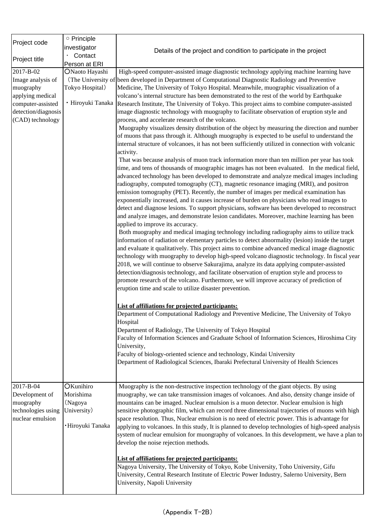| Project code        | o Principle       |                                                                                                      |
|---------------------|-------------------|------------------------------------------------------------------------------------------------------|
|                     | investigator      |                                                                                                      |
|                     | Contact           | Details of the project and condition to participate in the project                                   |
| Project title       | Person at ERI     |                                                                                                      |
| 2017-B-02           | ONaoto Hayashi    | High-speed computer-assisted image diagnostic technology applying machine learning have              |
| Image analysis of   |                   | (The University of been developed in Department of Computational Diagnostic Radiology and Preventive |
| muography           | Tokyo Hospital)   | Medicine, The University of Tokyo Hospital. Meanwhile, muographic visualization of a                 |
| applying medical    |                   | volcano's internal structure has been demonstrated to the rest of the world by Earthquake            |
| computer-assisted   | · Hiroyuki Tanaka | Research Institute, The University of Tokyo. This project aims to combine computer-assisted          |
| detection/diagnosis |                   | image diagnostic technology with muography to facilitate observation of eruption style and           |
| (CAD) technology    |                   | process, and accelerate research of the volcano.                                                     |
|                     |                   | Muography visualizes density distribution of the object by measuring the direction and number        |
|                     |                   | of muons that pass through it. Although muography is expected to be useful to understand the         |
|                     |                   | internal structure of volcanoes, it has not been sufficiently utilized in connection with volcanic   |
|                     |                   | activity.                                                                                            |
|                     |                   | That was because analysis of muon track information more than ten million per year has took          |
|                     |                   | time, and tens of thousands of muographic images has not been evaluated. In the medical field,       |
|                     |                   | advanced technology has been developed to demonstrate and analyze medical images including           |
|                     |                   | radiography, computed tomography (CT), magnetic resonance imaging (MRI), and positron                |
|                     |                   | emission tomography (PET). Recently, the number of images per medical examination has                |
|                     |                   | exponentially increased, and it causes increase of burden on physicians who read images to           |
|                     |                   | detect and diagnose lesions. To support physicians, software has been developed to reconstruct       |
|                     |                   | and analyze images, and demonstrate lesion candidates. Moreover, machine learning has been           |
|                     |                   | applied to improve its accuracy.                                                                     |
|                     |                   | Both muography and medical imaging technology including radiography aims to utilize track            |
|                     |                   | information of radiation or elementary particles to detect abnormality (lesion) inside the target    |
|                     |                   | and evaluate it qualitatively. This project aims to combine advanced medical image diagnostic        |
|                     |                   | technology with muography to develop high-speed volcano diagnostic technology. In fiscal year        |
|                     |                   | 2018, we will continue to observe Sakurajima, analyze its data applying computer-assisted            |
|                     |                   | detection/diagnosis technology, and facilitate observation of eruption style and process to          |
|                     |                   | promote research of the volcano. Furthermore, we will improve accuracy of prediction of              |
|                     |                   | eruption time and scale to utilize disaster prevention.                                              |
|                     |                   |                                                                                                      |
|                     |                   | List of affiliations for projected participants:                                                     |
|                     |                   | Department of Computational Radiology and Preventive Medicine, The University of Tokyo               |
|                     |                   | Hospital                                                                                             |
|                     |                   | Department of Radiology, The University of Tokyo Hospital                                            |
|                     |                   | Faculty of Information Sciences and Graduate School of Information Sciences, Hiroshima City          |
|                     |                   | University,                                                                                          |
|                     |                   | Faculty of biology-oriented science and technology, Kindai University                                |
|                     |                   | Department of Radiological Sciences, Ibaraki Prefectural University of Health Sciences               |
|                     |                   |                                                                                                      |
|                     |                   |                                                                                                      |
| 2017-B-04           | OKunihiro         | Muography is the non-destructive inspection technology of the giant objects. By using                |
| Development of      | Morishima         | muography, we can take transmission images of volcanoes. And also, density change inside of          |
| muography           | (Nagoya           | mountains can be imaged. Nuclear emulsion is a muon detector. Nuclear emulsion is high               |
| technologies using  | University)       | sensitive photographic film, which can record three dimensional trajectories of muons with high      |
| nuclear emulsion    |                   | space resolution. Thus, Nuclear emulsion is no need of electric power. This is advantage for         |
|                     | ·Hiroyuki Tanaka  | applying to volcanoes. In this study, It is planned to develop technologies of high-speed analysis   |
|                     |                   | system of nuclear emulsion for muongraphy of volcanoes. In this development, we have a plan to       |
|                     |                   | develop the noise rejection methods.                                                                 |
|                     |                   |                                                                                                      |
|                     |                   | List of affiliations for projected participants:                                                     |
|                     |                   | Nagoya University, The University of Tokyo, Kobe University, Toho University, Gifu                   |
|                     |                   | University, Central Research Institute of Electric Power Industry, Salerno University, Bern          |
|                     |                   | University, Napoli University                                                                        |
|                     |                   |                                                                                                      |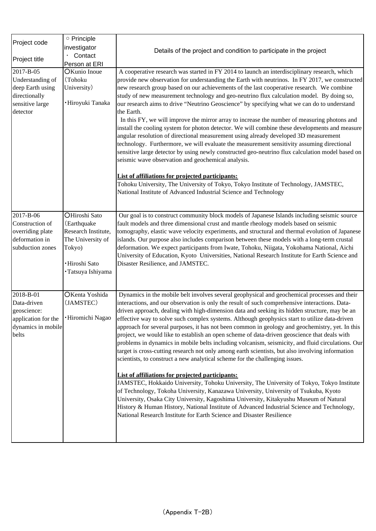| Project code                                                                                      | O Principle                                                                                                               |                                                                                                                                                                                                                                                                                                                                                                                                                                                                                                                                                                                                                                                                                                                                                                                                                                                                                                                                                                                                                                                                                                                                                                                                                                                                                                                                                                                                      |
|---------------------------------------------------------------------------------------------------|---------------------------------------------------------------------------------------------------------------------------|------------------------------------------------------------------------------------------------------------------------------------------------------------------------------------------------------------------------------------------------------------------------------------------------------------------------------------------------------------------------------------------------------------------------------------------------------------------------------------------------------------------------------------------------------------------------------------------------------------------------------------------------------------------------------------------------------------------------------------------------------------------------------------------------------------------------------------------------------------------------------------------------------------------------------------------------------------------------------------------------------------------------------------------------------------------------------------------------------------------------------------------------------------------------------------------------------------------------------------------------------------------------------------------------------------------------------------------------------------------------------------------------------|
|                                                                                                   | investigator                                                                                                              |                                                                                                                                                                                                                                                                                                                                                                                                                                                                                                                                                                                                                                                                                                                                                                                                                                                                                                                                                                                                                                                                                                                                                                                                                                                                                                                                                                                                      |
| Project title                                                                                     | Contact                                                                                                                   | Details of the project and condition to participate in the project                                                                                                                                                                                                                                                                                                                                                                                                                                                                                                                                                                                                                                                                                                                                                                                                                                                                                                                                                                                                                                                                                                                                                                                                                                                                                                                                   |
|                                                                                                   | Person at ERI                                                                                                             |                                                                                                                                                                                                                                                                                                                                                                                                                                                                                                                                                                                                                                                                                                                                                                                                                                                                                                                                                                                                                                                                                                                                                                                                                                                                                                                                                                                                      |
| 2017-B-05<br>Understanding of<br>deep Earth using<br>directionally<br>sensitive large<br>detector | OKunio Inoue<br>(Tohoku<br>University)<br>· Hiroyuki Tanaka                                                               | A cooperative research was started in FY 2014 to launch an interdisciplinary research, which<br>provide new observation for understanding the Earth with neutrinos. In FY 2017, we constructed<br>new research group based on our achievements of the last cooperative research. We combine<br>study of new measurement technology and geo-neutrino flux calculation model. By doing so,<br>our research aims to drive "Neutrino Geoscience" by specifying what we can do to understand<br>the Earth.<br>In this FY, we will improve the mirror array to increase the number of measuring photons and<br>install the cooling system for photon detector. We will combine these developments and measure<br>angular resolution of directional measurement using already developed 3D measurement<br>technology. Furthermore, we will evaluate the measurement sensitivity assuming directional<br>sensitive large detector by using newly constructed geo-neutrino flux calculation model based on<br>seismic wave observation and geochemical analysis.<br>List of affiliations for projected participants:<br>Tohoku University, The University of Tokyo, Tokyo Institute of Technology, JAMSTEC,<br>National Institute of Advanced Industrial Science and Technology                                                                                                                               |
| 2017-B-06<br>Construction of<br>overriding plate<br>deformation in<br>subduction zones            | OHiroshi Sato<br>(Earthquake<br>Research Institute,<br>The University of<br>Tokyo)<br>·Hiroshi Sato<br>· Tatsuya Ishiyama | Our goal is to construct community block models of Japanese Islands including seismic source<br>fault models and three dimensional crust and mantle rheology models based on seismic<br>tomography, elastic wave velocity experiments, and structural and thermal evolution of Japanese<br>islands. Our purpose also includes comparison between these models with a long-term crustal<br>deformation. We expect participants from Iwate, Tohoku, Niigata, Yokohama National, Aichi<br>University of Education, Kyoto Universities, National Research Institute for Earth Science and<br>Disaster Resilience, and JAMSTEC.                                                                                                                                                                                                                                                                                                                                                                                                                                                                                                                                                                                                                                                                                                                                                                           |
| 2018-B-01<br>Data-driven<br>geoscience:<br>application for the<br>dynamics in mobile<br>belts     | OKenta Yoshida<br>(JAMSTEC)<br><b>Hiromichi Nagao</b>                                                                     | Dynamics in the mobile belt involves several geophysical and geochemical processes and their<br>interactions, and our observation is only the result of such comprehensive interactions. Data-<br>driven approach, dealing with high-dimension data and seeking its hidden structure, may be an<br>effective way to solve such complex systems. Although geophysics start to utilize data-driven<br>approach for several purposes, it has not been common in geology and geochemistry, yet. In this<br>project, we would like to establish an open scheme of data-driven geoscience that deals with<br>problems in dynamics in mobile belts including volcanism, seismicity, and fluid circulations. Our<br>target is cross-cutting research not only among earth scientists, but also involving information<br>scientists, to construct a new analytical scheme for the challenging issues.<br>List of affiliations for projected participants:<br>JAMSTEC, Hokkaido University, Tohoku University, The University of Tokyo, Tokyo Institute<br>of Technology, Tokoha University, Kanazawa University, University of Tsukuba, Kyoto<br>University, Osaka City University, Kagoshima University, Kitakyushu Museum of Natural<br>History & Human History, National Institute of Advanced Industrial Science and Technology,<br>National Research Institute for Earth Science and Disaster Resilience |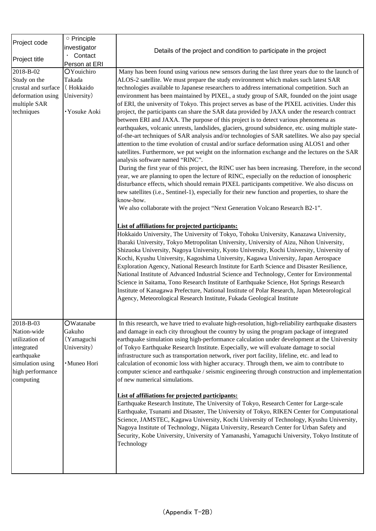|                               | o Principle   |                                                                                                                                                                                                                                                                                                                                                                                                                                                                                                                                                                                                 |
|-------------------------------|---------------|-------------------------------------------------------------------------------------------------------------------------------------------------------------------------------------------------------------------------------------------------------------------------------------------------------------------------------------------------------------------------------------------------------------------------------------------------------------------------------------------------------------------------------------------------------------------------------------------------|
| Project code                  | investigator  |                                                                                                                                                                                                                                                                                                                                                                                                                                                                                                                                                                                                 |
|                               | Contact       | Details of the project and condition to participate in the project                                                                                                                                                                                                                                                                                                                                                                                                                                                                                                                              |
| Project title                 | Person at ERI |                                                                                                                                                                                                                                                                                                                                                                                                                                                                                                                                                                                                 |
| 2018-B-02                     | OYouichiro    | Many has been found using various new sensors during the last three years due to the launch of                                                                                                                                                                                                                                                                                                                                                                                                                                                                                                  |
| Study on the                  | Takada        | ALOS-2 satellite. We must prepare the study environment which makes such latest SAR                                                                                                                                                                                                                                                                                                                                                                                                                                                                                                             |
| crustal and surface           | (Hokkaido     | technologies available to Japanese researchers to address international competition. Such an                                                                                                                                                                                                                                                                                                                                                                                                                                                                                                    |
| deformation using             | University)   | environment has been maintained by PIXEL, a study group of SAR, founded on the joint usage                                                                                                                                                                                                                                                                                                                                                                                                                                                                                                      |
| multiple SAR                  |               | of ERI, the university of Tokyo. This project serves as base of the PIXEL activities. Under this                                                                                                                                                                                                                                                                                                                                                                                                                                                                                                |
| techniques                    | · Yosuke Aoki | project, the participants can share the SAR data provided by JAXA under the research contract<br>between ERI and JAXA. The purpose of this project is to detect various phenomena as<br>earthquakes, volcanic unrests, landslides, glaciers, ground subsidence, etc. using multiple state-<br>of-the-art techniques of SAR analysis and/or technologies of SAR satellites. We also pay special<br>attention to the time evolution of crustal and/or surface deformation using ALOS1 and other<br>satellites. Furthermore, we put weight on the information exchange and the lectures on the SAR |
|                               |               | analysis software named "RINC".                                                                                                                                                                                                                                                                                                                                                                                                                                                                                                                                                                 |
|                               |               | During the first year of this project, the RINC user has been increasing. Therefore, in the second<br>year, we are planning to open the lecture of RINC, especially on the reduction of ionospheric<br>disturbance effects, which should remain PIXEL participants competitive. We also discuss on<br>new satellites (i.e., Sentinel-1), especially for their new function and properties, to share the<br>know-how.                                                                                                                                                                            |
|                               |               | We also collaborate with the project "Next Generation Volcano Research B2-1".                                                                                                                                                                                                                                                                                                                                                                                                                                                                                                                   |
|                               |               | <b>List of affiliations for projected participants:</b>                                                                                                                                                                                                                                                                                                                                                                                                                                                                                                                                         |
|                               |               | Hokkaido University, The University of Tokyo, Tohoku University, Kanazawa University,                                                                                                                                                                                                                                                                                                                                                                                                                                                                                                           |
|                               |               | Ibaraki University, Tokyo Metropolitan University, University of Aizu, Nihon University,                                                                                                                                                                                                                                                                                                                                                                                                                                                                                                        |
|                               |               | Shizuoka University, Nagoya University, Kyoto University, Kochi University, University of                                                                                                                                                                                                                                                                                                                                                                                                                                                                                                       |
|                               |               | Kochi, Kyushu University, Kagoshima University, Kagawa University, Japan Aerospace                                                                                                                                                                                                                                                                                                                                                                                                                                                                                                              |
|                               |               | Exploration Agency, National Research Institute for Earth Science and Disaster Resilience,                                                                                                                                                                                                                                                                                                                                                                                                                                                                                                      |
|                               |               | National Institute of Advanced Industrial Science and Technology, Center for Environmental                                                                                                                                                                                                                                                                                                                                                                                                                                                                                                      |
|                               |               | Science in Saitama, Tono Research Institute of Earthquake Science, Hot Springs Research                                                                                                                                                                                                                                                                                                                                                                                                                                                                                                         |
|                               |               | Institute of Kanagawa Prefecture, National Institute of Polar Research, Japan Meteorological<br>Agency, Meteorological Research Institute, Fukada Geological Institute                                                                                                                                                                                                                                                                                                                                                                                                                          |
|                               |               |                                                                                                                                                                                                                                                                                                                                                                                                                                                                                                                                                                                                 |
|                               |               |                                                                                                                                                                                                                                                                                                                                                                                                                                                                                                                                                                                                 |
| 2018-B-03                     | OWatanabe     | In this research, we have tried to evaluate high-resolution, high-reliability earthquake disasters                                                                                                                                                                                                                                                                                                                                                                                                                                                                                              |
| Nation-wide                   | Gakuho        | and damage in each city throughout the country by using the program package of integrated                                                                                                                                                                                                                                                                                                                                                                                                                                                                                                       |
| utilization of                | (Yamaguchi    | earthquake simulation using high-performance calculation under development at the University                                                                                                                                                                                                                                                                                                                                                                                                                                                                                                    |
| integrated                    | University)   | of Tokyo Earthquake Research Institute. Especially, we will evaluate damage to social                                                                                                                                                                                                                                                                                                                                                                                                                                                                                                           |
| earthquake                    |               | infrastructure such as transportation network, river port facility, lifeline, etc. and lead to                                                                                                                                                                                                                                                                                                                                                                                                                                                                                                  |
| simulation using              | · Muneo Hori  | calculation of economic loss with higher accuracy. Through them, we aim to contribute to                                                                                                                                                                                                                                                                                                                                                                                                                                                                                                        |
| high performance<br>computing |               | computer science and earthquake / seismic engineering through construction and implementation<br>of new numerical simulations.                                                                                                                                                                                                                                                                                                                                                                                                                                                                  |
|                               |               | <b>List of affiliations for projected participants:</b>                                                                                                                                                                                                                                                                                                                                                                                                                                                                                                                                         |
|                               |               | Earthquake Research Institute, The University of Tokyo, Research Center for Large-scale<br>Earthquake, Tsunami and Disaster, The University of Tokyo, RIKEN Center for Computational<br>Science, JAMSTEC, Kagawa University, Kochi University of Technology, Kyushu University,                                                                                                                                                                                                                                                                                                                 |
|                               |               | Nagoya Institute of Technology, Niigata University, Research Center for Urban Safety and<br>Security, Kobe University, University of Yamanashi, Yamaguchi University, Tokyo Institute of<br>Technology                                                                                                                                                                                                                                                                                                                                                                                          |
|                               |               |                                                                                                                                                                                                                                                                                                                                                                                                                                                                                                                                                                                                 |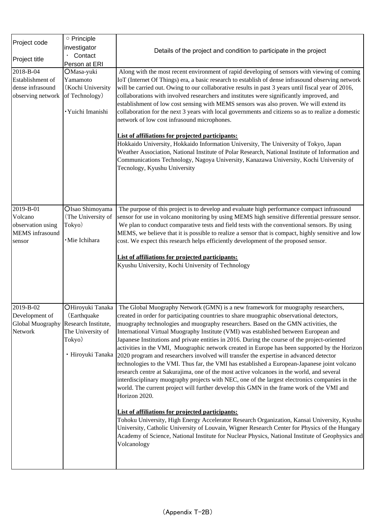| Project code                                           | o Principle        |                                                                                                                                                                                 |
|--------------------------------------------------------|--------------------|---------------------------------------------------------------------------------------------------------------------------------------------------------------------------------|
|                                                        | investigator       | Details of the project and condition to participate in the project                                                                                                              |
| Project title                                          | Contact            |                                                                                                                                                                                 |
|                                                        | Person at ERI      |                                                                                                                                                                                 |
| 2018-B-04                                              | OMasa-yuki         | Along with the most recent environment of rapid developing of sensors with viewing of coming                                                                                    |
| Establishment of                                       | Yamamoto           | IoT (Internet Of Things) era, a basic research to establish of dense infrasound observing network                                                                               |
| dense infrasound                                       | (Kochi University  | will be carried out. Owing to our collaborative results in past 3 years until fiscal year of 2016,                                                                              |
| observing network                                      | of Technology)     | collaborations with involved researchers and institutes were significantly improved, and                                                                                        |
|                                                        |                    | establishment of low cost sensing with MEMS sensors was also proven. We will extend its                                                                                         |
|                                                        | · Yuichi Imanishi  | collaboration for the next 3 years with local governments and citizens so as to realize a domestic                                                                              |
|                                                        |                    | network of low cost infrasound microphones.                                                                                                                                     |
|                                                        |                    |                                                                                                                                                                                 |
|                                                        |                    | <b>List of affiliations for projected participants:</b><br>Hokkaido University, Hokkaido Information University, The University of Tokyo, Japan                                 |
|                                                        |                    | Weather Association, National Institute of Polar Research, National Institute of Information and                                                                                |
|                                                        |                    | Communications Technology, Nagoya University, Kanazawa University, Kochi University of                                                                                          |
|                                                        |                    | Tecnology, Kyushu University                                                                                                                                                    |
|                                                        |                    |                                                                                                                                                                                 |
|                                                        |                    |                                                                                                                                                                                 |
|                                                        |                    |                                                                                                                                                                                 |
|                                                        |                    |                                                                                                                                                                                 |
| 2019-B-01                                              | OIsao Shimoyama    | The purpose of this project is to develop and evaluate high performance compact infrasound                                                                                      |
| Volcano                                                | (The University of | sensor for use in volcano monitoring by using MEMS high sensitive differential pressure sensor.                                                                                 |
| observation using                                      | Tokyo)             | We plan to conduct comparative tests and field tests with the conventional sensors. By using                                                                                    |
| <b>MEMS</b> infrasound                                 | ·Mie Ichihara      | MEMS, we believe that it is possible to realize a sensor that is compact, highly sensitive and low                                                                              |
| sensor                                                 |                    | cost. We expect this research helps efficiently development of the proposed sensor.                                                                                             |
|                                                        |                    | <b>List of affiliations for projected participants:</b>                                                                                                                         |
|                                                        |                    | Kyushu University, Kochi University of Technology                                                                                                                               |
|                                                        |                    |                                                                                                                                                                                 |
|                                                        |                    |                                                                                                                                                                                 |
|                                                        |                    |                                                                                                                                                                                 |
|                                                        |                    |                                                                                                                                                                                 |
| 2019-B-02                                              | OHiroyuki Tanaka   | The Global Muography Network (GMN) is a new framework for muography researchers,                                                                                                |
| Development of<br>Global Muography Research Institute, | (Earthquake        | created in order for participating countries to share muographic observational detectors,<br>muography technologies and muography researchers. Based on the GMN activities, the |
| Network                                                | The University of  | International Virtual Muography Institute (VMI) was established between European and                                                                                            |
|                                                        | Tokyo)             | Japanese Institutions and private entities in 2016. During the course of the project-oriented                                                                                   |
|                                                        |                    | activities in the VMI, Muographic network created in Europe has been supported by the Horizon                                                                                   |
|                                                        | • Hiroyuki Tanaka  | 2020 program and researchers involved will transfer the expertise in advanced detector                                                                                          |
|                                                        |                    | technologies to the VMI. Thus far, the VMI has established a European-Japanese joint volcano                                                                                    |
|                                                        |                    | research centre at Sakurajima, one of the most active volcanoes in the world, and several                                                                                       |
|                                                        |                    | interdisciplinary muography projects with NEC, one of the largest electronics companies in the                                                                                  |
|                                                        |                    | world. The current project will further develop this GMN in the frame work of the VMI and                                                                                       |
|                                                        |                    | Horizon 2020.                                                                                                                                                                   |
|                                                        |                    |                                                                                                                                                                                 |
|                                                        |                    | <b>List of affiliations for projected participants:</b>                                                                                                                         |
|                                                        |                    | Tohoku University, High Energy Accelerator Research Organization, Kansai University, Kyushu                                                                                     |
|                                                        |                    | University, Catholic University of Louvain, Wigner Research Center for Physics of the Hungary                                                                                   |
|                                                        |                    | Academy of Science, National Institute for Nuclear Physics, National Institute of Geophysics and<br>Volcanology                                                                 |
|                                                        |                    |                                                                                                                                                                                 |
|                                                        |                    |                                                                                                                                                                                 |
|                                                        |                    |                                                                                                                                                                                 |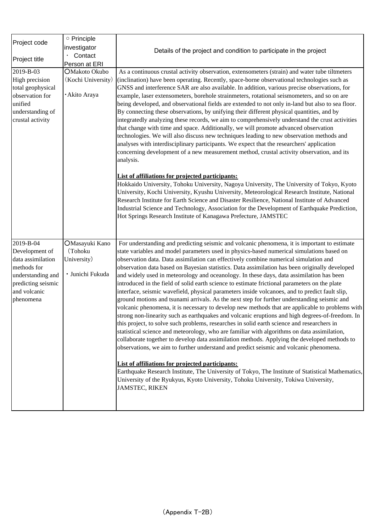|                                  | O Principle        |                                                                                                                                                                                            |
|----------------------------------|--------------------|--------------------------------------------------------------------------------------------------------------------------------------------------------------------------------------------|
| Project code                     | investigator       |                                                                                                                                                                                            |
|                                  | Contact            | Details of the project and condition to participate in the project                                                                                                                         |
| Project title                    | Person at ERI      |                                                                                                                                                                                            |
| 2019-B-03                        | OMakoto Okubo      | As a continuous crustal activity observation, extensometers (strain) and water tube tiltmeters                                                                                             |
| High precision                   | (Kochi University) | (inclination) have been operating. Recently, space-borne observational technologies such as                                                                                                |
| total geophysical                |                    | GNSS and interference SAR are also available. In addition, various precise observations, for                                                                                               |
| observation for                  | · Akito Araya      | example, laser extensometers, borehole strainmeters, rotational seismometers, and so on are                                                                                                |
| unified                          |                    | being developed, and observational fields are extended to not only in-land but also to sea floor.                                                                                          |
| understanding of                 |                    | By connecting these observations, by unifying their different physical quantities, and by                                                                                                  |
| crustal activity                 |                    | integratedly analyzing these records, we aim to comprehensively understand the crust activities                                                                                            |
|                                  |                    | that change with time and space. Additionally, we will promote advanced observation                                                                                                        |
|                                  |                    | technologies. We will also discuss new techniques leading to new observation methods and                                                                                                   |
|                                  |                    | analyses with interdisciplinary participants. We expect that the researchers' application                                                                                                  |
|                                  |                    | concerning development of a new measurement method, crustal activity observation, and its<br>analysis.                                                                                     |
|                                  |                    | <b>List of affiliations for projected participants:</b>                                                                                                                                    |
|                                  |                    | Hokkaido University, Tohoku University, Nagoya University, The University of Tokyo, Kyoto                                                                                                  |
|                                  |                    | University, Kochi University, Kyushu University, Meteorological Research Institute, National                                                                                               |
|                                  |                    | Research Institute for Earth Science and Disaster Resilience, National Institute of Advanced                                                                                               |
|                                  |                    | Industrial Science and Technology, Association for the Development of Earthquake Prediction,                                                                                               |
|                                  |                    | Hot Springs Research Institute of Kanagawa Prefecture, JAMSTEC                                                                                                                             |
|                                  |                    |                                                                                                                                                                                            |
|                                  |                    |                                                                                                                                                                                            |
| 2019-B-04                        | OMasayuki Kano     | For understanding and predicting seismic and volcanic phenomena, it is important to estimate                                                                                               |
| Development of                   | (Tohoku            | state variables and model parameters used in physics-based numerical simulations based on                                                                                                  |
| data assimilation                | University)        | observation data. Data assimilation can effectively combine numerical simulation and                                                                                                       |
| methods for<br>understanding and | · Junichi Fukuda   | observation data based on Bayesian statistics. Data assimilation has been originally developed<br>and widely used in meteorology and oceanology. In these days, data assimilation has been |
| predicting seismic               |                    | introduced in the field of solid earth science to estimate frictional parameters on the plate                                                                                              |
| and volcanic                     |                    | interface, seismic wavefield, physical parameters inside volcanoes, and to predict fault slip,                                                                                             |
| phenomena                        |                    | ground motions and tsunami arrivals. As the next step for further understanding seismic and                                                                                                |
|                                  |                    | volcanic phenomena, it is necessary to develop new methods that are applicable to problems with                                                                                            |
|                                  |                    | strong non-linearity such as earthquakes and volcanic eruptions and high degrees-of-freedom. In                                                                                            |
|                                  |                    | this project, to solve such problems, researches in solid earth science and researchers in                                                                                                 |
|                                  |                    | statistical science and meteorology, who are familiar with algorithms on data assimilation,                                                                                                |
|                                  |                    | collaborate together to develop data assimilation methods. Applying the developed methods to                                                                                               |
|                                  |                    | observations, we aim to further understand and predict seismic and volcanic phenomena.                                                                                                     |
|                                  |                    | <b>List of affiliations for projected participants:</b>                                                                                                                                    |
|                                  |                    | Earthquake Research Institute, The University of Tokyo, The Institute of Statistical Mathematics,                                                                                          |
|                                  |                    | University of the Ryukyus, Kyoto University, Tohoku University, Tokiwa University,<br>JAMSTEC, RIKEN                                                                                       |
|                                  |                    |                                                                                                                                                                                            |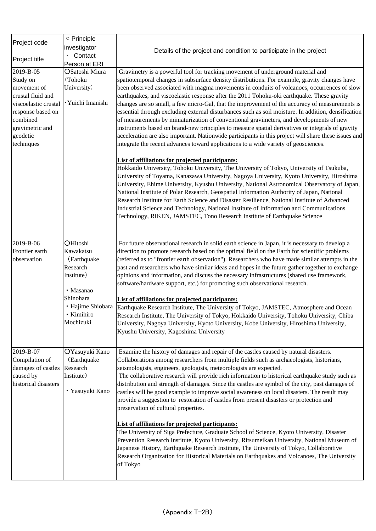| Project code         | O Principle            |                                                                                                                                                                                               |
|----------------------|------------------------|-----------------------------------------------------------------------------------------------------------------------------------------------------------------------------------------------|
|                      | investigator           | Details of the project and condition to participate in the project                                                                                                                            |
| Project title        | Contact                |                                                                                                                                                                                               |
|                      | Person at ERI          |                                                                                                                                                                                               |
| 2019-B-05            | <b>OSatoshi Miura</b>  | Gravimetry is a powerful tool for tracking movement of underground material and                                                                                                               |
| Study on             | (Tohoku                | spatiotemporal changes in subsurface density distributions. For example, gravity changes have                                                                                                 |
| movement of          | University)            | been observed associated with magma movements in conduits of volcanoes, occurrences of slow                                                                                                   |
| crustal fluid and    |                        | earthquakes, and viscoelastic response after the 2011 Tohoku-oki earthquake. These gravity                                                                                                    |
| viscoelastic crustal | · Yuichi Imanishi      | changes are so small, a few micro-Gal, that the improvement of the accuracy of measurements is                                                                                                |
| response based on    |                        | essential through excluding external disturbances such as soil moisture. In addition, densification                                                                                           |
| combined             |                        | of measurements by miniaturization of conventional gravimeters, and developments of new                                                                                                       |
| gravimetric and      |                        | instruments based on brand-new principles to measure spatial derivatives or integrals of gravity                                                                                              |
| geodetic             |                        | acceleration are also important. Nationwide participants in this project will share these issues and                                                                                          |
| techniques           |                        | integrate the recent advances toward applications to a wide variety of geosciences.                                                                                                           |
|                      |                        | <b>List of affiliations for projected participants:</b>                                                                                                                                       |
|                      |                        | Hokkaido University, Tohoku University, The University of Tokyo, University of Tsukuba,                                                                                                       |
|                      |                        | University of Toyama, Kanazawa University, Nagoya University, Kyoto University, Hiroshima                                                                                                     |
|                      |                        | University, Ehime University, Kyushu University, National Astronomical Observatory of Japan,                                                                                                  |
|                      |                        | National Institute of Polar Research, Geospatial Information Authority of Japan, National                                                                                                     |
|                      |                        | Research Institute for Earth Science and Disaster Resilience, National Institute of Advanced                                                                                                  |
|                      |                        | Industrial Science and Technology, National Institute of Information and Communications                                                                                                       |
|                      |                        | Technology, RIKEN, JAMSTEC, Tono Research Institute of Earthquake Science                                                                                                                     |
|                      |                        |                                                                                                                                                                                               |
|                      |                        |                                                                                                                                                                                               |
| 2019-B-06            | OHitoshi               | For future observational research in solid earth science in Japan, it is necessary to develop a                                                                                               |
| Frontier earth       | Kawakatsu              | direction to promote research based on the optimal field on the Earth for scientific problems                                                                                                 |
| observation          | (Earthquake            | (referred as to "frontier earth observation"). Researchers who have made similar attempts in the                                                                                              |
|                      | Research<br>Institute) | past and researchers who have similar ideas and hopes in the future gather together to exchange<br>opinions and information, and discuss the necessary infrastructures (shared use framework, |
|                      |                        | software/hardware support, etc.) for promoting such observational research.                                                                                                                   |
|                      | · Masanao              |                                                                                                                                                                                               |
|                      | Shinohara              | <b>List of affiliations for projected participants:</b>                                                                                                                                       |
|                      | · Hajime Shiobara      | Earthquake Research Institute, The University of Tokyo, JAMSTEC, Atmosphere and Ocean                                                                                                         |
|                      | · Kimihiro             | Research Institute, The University of Tokyo, Hokkaido University, Tohoku University, Chiba                                                                                                    |
|                      | Mochizuki              | University, Nagoya University, Kyoto University, Kobe University, Hiroshima University,                                                                                                       |
|                      |                        | Kyushu University, Kagoshima University                                                                                                                                                       |
|                      |                        |                                                                                                                                                                                               |
| 2019-B-07            | OYasuyuki Kano         | Examine the history of damages and repair of the castles caused by natural disasters.                                                                                                         |
| Compilation of       | (Earthquake            | Collaborations among researchers from multiple fields such as archaeologists, historians,                                                                                                     |
| damages of castles   | Research               | seismologists, engineers, geologists, meteorologists are expected.                                                                                                                            |
| caused by            | Institute)             | The collaborative research will provide rich information to historical earthquake study such as                                                                                               |
| historical disasters |                        | distribution and strength of damages. Since the castles are symbol of the city, past damages of                                                                                               |
|                      | · Yasuyuki Kano        | castles will be good example to improve social awareness on local disasters. The result may                                                                                                   |
|                      |                        | provide a suggestion to restoration of castles from present disasters or protection and<br>preservation of cultural properties.                                                               |
|                      |                        |                                                                                                                                                                                               |
|                      |                        | <b>List of affiliations for projected participants:</b>                                                                                                                                       |
|                      |                        | The University of Siga Prefecture, Graduate School of Science, Kyoto University, Disaster                                                                                                     |
|                      |                        | Prevention Research Institute, Kyoto University, Ritsumeikan University, National Museum of                                                                                                   |
|                      |                        | Japanese History, Earthquake Research Institute, The University of Tokyo, Collaborative                                                                                                       |
|                      |                        | Research Organization for Historical Materials on Earthquakes and Volcanoes, The University<br>of Tokyo                                                                                       |
|                      |                        |                                                                                                                                                                                               |
|                      |                        |                                                                                                                                                                                               |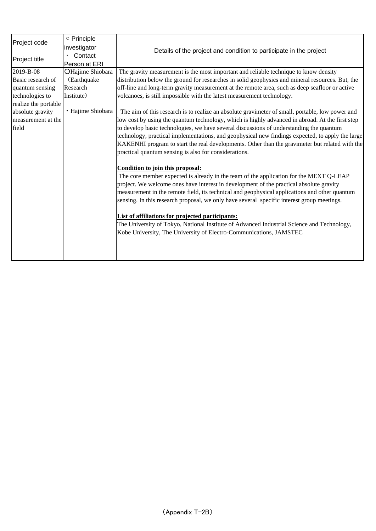| Project code         | o Principle       |                                                                                                  |  |
|----------------------|-------------------|--------------------------------------------------------------------------------------------------|--|
|                      | investigator      | Details of the project and condition to participate in the project                               |  |
|                      | Contact           |                                                                                                  |  |
| Project title        | Person at ERI     |                                                                                                  |  |
| 2019-B-08            | OHajime Shiobara  | The gravity measurement is the most important and reliable technique to know density             |  |
| Basic research of    | (Earthquake)      | distribution below the ground for researches in solid geophysics and mineral resources. But, the |  |
| quantum sensing      | Research          | off-line and long-term gravity measurement at the remote area, such as deep seafloor or active   |  |
| technologies to      | Institute)        | volcanoes, is still impossible with the latest measurement technology.                           |  |
| realize the portable |                   |                                                                                                  |  |
| absolute gravity     | · Hajime Shiobara | The aim of this research is to realize an absolute gravimeter of small, portable, low power and  |  |
| measurement at the   |                   | low cost by using the quantum technology, which is highly advanced in abroad. At the first step  |  |
| field                |                   | to develop basic technologies, we have several discussions of understanding the quantum          |  |
|                      |                   | technology, practical implementations, and geophysical new findings expected, to apply the large |  |
|                      |                   | KAKENHI program to start the real developments. Other than the gravimeter but related with the   |  |
|                      |                   | practical quantum sensing is also for considerations.                                            |  |
|                      |                   |                                                                                                  |  |
|                      |                   | Condition to join this proposal:                                                                 |  |
|                      |                   | The core member expected is already in the team of the application for the MEXT Q-LEAP           |  |
|                      |                   | project. We welcome ones have interest in development of the practical absolute gravity          |  |
|                      |                   | measurement in the remote field, its technical and geophysical applications and other quantum    |  |
|                      |                   | sensing. In this research proposal, we only have several specific interest group meetings.       |  |
|                      |                   |                                                                                                  |  |
|                      |                   | <b>List of affiliations for projected participants:</b>                                          |  |
|                      |                   | The University of Tokyo, National Institute of Advanced Industrial Science and Technology,       |  |
|                      |                   | Kobe University, The University of Electro-Communications, JAMSTEC                               |  |
|                      |                   |                                                                                                  |  |
|                      |                   |                                                                                                  |  |
|                      |                   |                                                                                                  |  |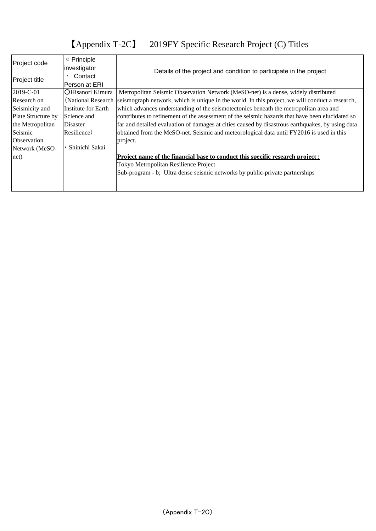# 【Appendix T-2C】 2019FY Specific Research Project (C) Titles

| Project code       | ○ Principle             |                                                                                                  |  |  |  |  |
|--------------------|-------------------------|--------------------------------------------------------------------------------------------------|--|--|--|--|
| Project title      | investigator<br>Contact | Details of the project and condition to participate in the project                               |  |  |  |  |
|                    | Person at ERI           |                                                                                                  |  |  |  |  |
| 2019-C-01          | OHisanori Kimura        | Metropolitan Seismic Observation Network (MeSO-net) is a dense, widely distributed               |  |  |  |  |
| Research on        | (National Research)     | seismograph network, which is unique in the world. In this project, we will conduct a research,  |  |  |  |  |
| Seismicity and     | Institute for Earth     | which advances understanding of the seismotectonics beneath the metropolitan area and            |  |  |  |  |
| Plate Structure by | Science and             | contributes to refinement of the assessment of the seismic hazards that have been elucidated so  |  |  |  |  |
| the Metropolitan   | Disaster                | far and detailed evaluation of damages at cities caused by disastrous earthquakes, by using data |  |  |  |  |
| Seismic            | Resilience)             | obtained from the MeSO-net. Seismic and meteorological data until FY2016 is used in this         |  |  |  |  |
| Observation        |                         | project.                                                                                         |  |  |  |  |
| Network (MeSO-     | Shinichi Sakai          |                                                                                                  |  |  |  |  |
| net)               |                         | Project name of the financial base to conduct this specific research project :                   |  |  |  |  |
|                    |                         | Tokyo Metropolitan Resilience Project                                                            |  |  |  |  |
|                    |                         | Sub-program - b; Ultra dense seismic networks by public-private partnerships                     |  |  |  |  |
|                    |                         |                                                                                                  |  |  |  |  |
|                    |                         |                                                                                                  |  |  |  |  |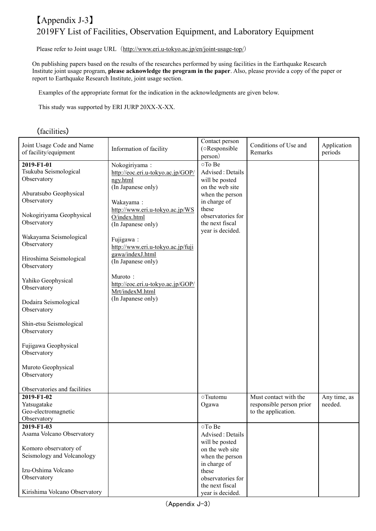### 【Appendix J-3】 2019FY List of Facilities, Observation Equipment, and Laboratory Equipment

Please refer to Joint usage URL (http://www.eri.u-tokyo.ac.jp/en/joint-usage-top/)

On publishing papers based on the results of the researches performed by using facilities in the Earthquake Research Institute joint usage program, **please acknowledge the program in the paper**. Also, please provide a copy of the paper or report to Earthquake Research Institute, joint usage section.

Examples of the appropriate format for the indication in the acknowledgments are given below.

This study was supported by ERI JURP 20XX-X-XX.

### (facilities)

| Joint Usage Code and Name<br>of facility/equipment | Information of facility           | Contact person<br>(oResponsible<br>person) | Conditions of Use and<br>Remarks | Application<br>periods |
|----------------------------------------------------|-----------------------------------|--------------------------------------------|----------------------------------|------------------------|
| 2019-F1-01                                         | Nokogiriyama:                     | oTo Be                                     |                                  |                        |
| Tsukuba Seismological                              | http://eoc.eri.u-tokyo.ac.jp/GOP/ | Advised: Details                           |                                  |                        |
| Observatory                                        | ngy.html                          | will be posted                             |                                  |                        |
|                                                    | (In Japanese only)                | on the web site                            |                                  |                        |
| Aburatsubo Geophysical                             |                                   | when the person                            |                                  |                        |
| Observatory                                        |                                   |                                            |                                  |                        |
|                                                    | Wakayama:                         | in charge of<br>these                      |                                  |                        |
| Nokogiriyama Geophysical                           | http://www.eri.u-tokyo.ac.jp/WS   | observatories for                          |                                  |                        |
| Observatory                                        | O/index.html                      | the next fiscal                            |                                  |                        |
|                                                    | (In Japanese only)                |                                            |                                  |                        |
| Wakayama Seismological                             |                                   | year is decided.                           |                                  |                        |
| Observatory                                        | Fujigawa:                         |                                            |                                  |                        |
|                                                    | http://www.eri.u-tokyo.ac.jp/fuji |                                            |                                  |                        |
| Hiroshima Seismological                            | gawa/indexJ.html                  |                                            |                                  |                        |
|                                                    | (In Japanese only)                |                                            |                                  |                        |
| Observatory                                        |                                   |                                            |                                  |                        |
| Yahiko Geophysical                                 | Muroto:                           |                                            |                                  |                        |
|                                                    | http://eoc.eri.u-tokyo.ac.jp/GOP/ |                                            |                                  |                        |
| Observatory                                        | Mrt/indexM.html                   |                                            |                                  |                        |
|                                                    | (In Japanese only)                |                                            |                                  |                        |
| Dodaira Seismological                              |                                   |                                            |                                  |                        |
| Observatory                                        |                                   |                                            |                                  |                        |
|                                                    |                                   |                                            |                                  |                        |
| Shin-etsu Seismological                            |                                   |                                            |                                  |                        |
| Observatory                                        |                                   |                                            |                                  |                        |
|                                                    |                                   |                                            |                                  |                        |
| Fujigawa Geophysical                               |                                   |                                            |                                  |                        |
| Observatory                                        |                                   |                                            |                                  |                        |
|                                                    |                                   |                                            |                                  |                        |
| Muroto Geophysical                                 |                                   |                                            |                                  |                        |
| Observatory                                        |                                   |                                            |                                  |                        |
|                                                    |                                   |                                            |                                  |                        |
| Observatories and facilities                       |                                   | ○Tsutomu                                   | Must contact with the            |                        |
| 2019-F1-02                                         |                                   |                                            |                                  | Any time, as           |
| Yatsugatake                                        |                                   | Ogawa                                      | responsible person prior         | needed.                |
| Geo-electromagnetic                                |                                   |                                            | to the application.              |                        |
| Observatory                                        |                                   |                                            |                                  |                        |
| 2019-F1-03                                         |                                   | oTo Be                                     |                                  |                        |
| Asama Volcano Observatory                          |                                   | Advised: Details                           |                                  |                        |
|                                                    |                                   | will be posted                             |                                  |                        |
| Komoro observatory of                              |                                   | on the web site                            |                                  |                        |
| Seismology and Volcanology                         |                                   | when the person                            |                                  |                        |
|                                                    |                                   | in charge of                               |                                  |                        |
| Izu-Oshima Volcano                                 |                                   | these                                      |                                  |                        |
| Observatory                                        |                                   | observatories for                          |                                  |                        |
|                                                    |                                   | the next fiscal                            |                                  |                        |
| Kirishima Volcano Observatory                      |                                   | year is decided.                           |                                  |                        |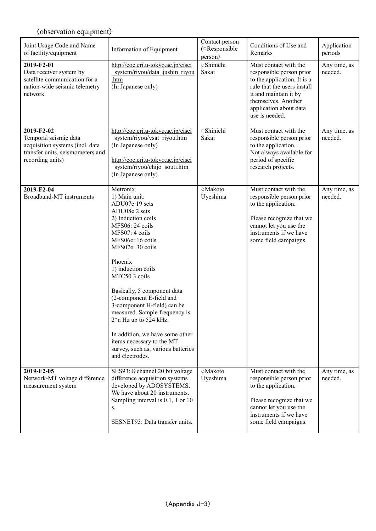| Joint Usage Code and Name<br>of facility/equipment                                                                             | Information of Equipment                                                                                                                                                                                                                                                                                                                                                                                                                                                                          | Contact person<br>(oResponsible<br>person) | Conditions of Use and<br>Remarks                                                                                                                                                                            | Application<br>periods  |
|--------------------------------------------------------------------------------------------------------------------------------|---------------------------------------------------------------------------------------------------------------------------------------------------------------------------------------------------------------------------------------------------------------------------------------------------------------------------------------------------------------------------------------------------------------------------------------------------------------------------------------------------|--------------------------------------------|-------------------------------------------------------------------------------------------------------------------------------------------------------------------------------------------------------------|-------------------------|
| 2019-F2-01<br>Data receiver system by<br>satellite communication for a<br>nation-wide seismic telemetry<br>network.            | http://eoc.eri.u-tokyo.ac.jp/eisei<br>system/riyou/data jushin riyou<br>.htm<br>(In Japanese only)                                                                                                                                                                                                                                                                                                                                                                                                | <b>oShinichi</b><br>Sakai                  | Must contact with the<br>responsible person prior<br>to the application. It is a<br>rule that the users install<br>it and maintain it by<br>themselves. Another<br>application about data<br>use is needed. | Any time, as<br>needed. |
| 2019-F2-02<br>Temporal seismic data<br>acquisition systems (incl. data<br>transfer units, seismometers and<br>recording units) | http://eoc.eri.u-tokyo.ac.jp/eisei<br>system/riyou/vsat riyou.htm<br>(In Japanese only)<br>http://eoc.eri.u-tokyo.ac.jp/eisei<br>system/riyou/chijo souti.htm<br>(In Japanese only)                                                                                                                                                                                                                                                                                                               | oShinichi<br>Sakai                         | Must contact with the<br>responsible person prior<br>to the application.<br>Not always available for<br>period of specific<br>research projects.                                                            | Any time, as<br>needed. |
| 2019-F2-04<br>Broadband-MT instruments                                                                                         | Metronix<br>1) Main unit:<br>ADU07e 19 sets<br>ADU08e 2 sets<br>2) Induction coils<br>MFS06: 24 coils<br>MFS07: 4 coils<br>MFS06e: 16 coils<br>MFS07e: 30 coils<br>Phoenix<br>1) induction coils<br>MTC50 3 coils<br>Basically, 5 component data<br>(2-component E-field and<br>3-component H-field) can be<br>measured. Sample frequency is<br>$2^$ n Hz up to 524 kHz.<br>In addition, we have some other<br>items necessary to the MT<br>survey, such as, various batteries<br>and electrodes. | ○Makoto<br>Uyeshima                        | Must contact with the<br>responsible person prior<br>to the application.<br>Please recognize that we<br>cannot let you use the<br>instruments if we have<br>some field campaigns.                           | Any time, as<br>needed. |
| 2019-F2-05<br>Network-MT voltage difference<br>measurement system                                                              | SES93: 8 channel 20 bit voltage<br>difference acquisition systems<br>developed by ADOSYSTEMS.<br>We have about 20 instruments.<br>Sampling interval is 0.1, 1 or 10<br>S.<br>SESNET93: Data transfer units.                                                                                                                                                                                                                                                                                       | ○Makoto<br>Uyeshima                        | Must contact with the<br>responsible person prior<br>to the application.<br>Please recognize that we<br>cannot let you use the<br>instruments if we have<br>some field campaigns.                           | Any time, as<br>needed. |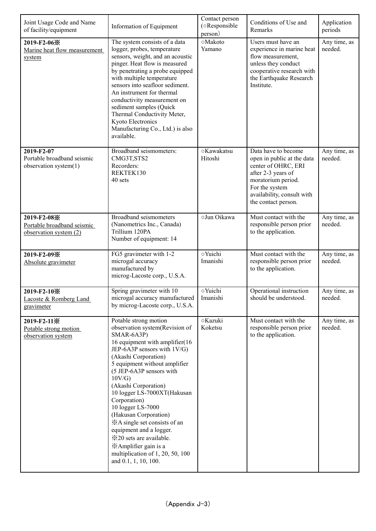| Joint Usage Code and Name<br>of facility/equipment                    | Information of Equipment                                                                                                                                                                                                                                                                                                                                                                                                                                                                                                                   | Contact person<br>(oResponsible<br>person) | Conditions of Use and<br>Remarks                                                                                                                                                            | Application<br>periods  |
|-----------------------------------------------------------------------|--------------------------------------------------------------------------------------------------------------------------------------------------------------------------------------------------------------------------------------------------------------------------------------------------------------------------------------------------------------------------------------------------------------------------------------------------------------------------------------------------------------------------------------------|--------------------------------------------|---------------------------------------------------------------------------------------------------------------------------------------------------------------------------------------------|-------------------------|
| 2019-F2-06※<br>Marine heat flow measurement<br>system                 | The system consists of a data<br>logger, probes, temperature<br>sensors, weight, and an acoustic<br>pinger. Heat flow is measured<br>by penetrating a probe equipped<br>with multiple temperature<br>sensors into seafloor sediment.<br>An instrument for thermal<br>conductivity measurement on<br>sediment samples (Quick<br>Thermal Conductivity Meter,<br>Kyoto Electronics<br>Manufacturing Co., Ltd.) is also<br>available.                                                                                                          | ○Makoto<br>Yamano                          | Users must have an<br>experience in marine heat<br>flow measurement,<br>unless they conduct<br>cooperative research with<br>the Earthquake Research<br>Institute.                           | Any time, as<br>needed. |
| 2019-F2-07<br>Portable broadband seismic<br>observation system(1)     | Broadband seismometers:<br>CMG3T, STS2<br>Recorders:<br>REKTEK130<br>40 sets                                                                                                                                                                                                                                                                                                                                                                                                                                                               | ○Kawakatsu<br>Hitoshi                      | Data have to become<br>open in public at the data<br>center of OHRC, ERI<br>after 2-3 years of<br>moratorium period.<br>For the system<br>availability, consult with<br>the contact person. | Any time, as<br>needed. |
| 2019-F2-08※<br>Portable broadband seismic<br>observation system $(2)$ | Broadband seismometers<br>(Nanometrics Inc., Canada)<br>Trillium 120PA<br>Number of equipment: 14                                                                                                                                                                                                                                                                                                                                                                                                                                          | oJun Oikawa                                | Must contact with the<br>responsible person prior<br>to the application.                                                                                                                    | Any time, as<br>needed. |
| 2019-F2-09※<br>Absolute gravimeter                                    | FG5 gravimeter with 1-2<br>microgal accuracy<br>manufactured by<br>microg-Lacoste corp., U.S.A.                                                                                                                                                                                                                                                                                                                                                                                                                                            | o Yuichi<br>Imanishi                       | Must contact with the<br>responsible person prior<br>to the application.                                                                                                                    | Any time, as<br>needed. |
| 2019-F2-10※<br>Lacoste & Romberg Land<br>gravimeter                   | Spring gravimeter with 10<br>microgal accuracy manufactured<br>by microg-Lacoste corp., U.S.A.                                                                                                                                                                                                                                                                                                                                                                                                                                             | o Yuichi<br>Imanishi                       | Operational instruction<br>should be understood.                                                                                                                                            | Any time, as<br>needed. |
| 2019-F2-11※<br>Potable strong motion<br>observation system            | Potable strong motion<br>observation system(Revision of<br>SMAR-6A3P)<br>16 equipment with amplifier(16<br>JEP-6A3P sensors with 1V/G)<br>(Akashi Corporation)<br>5 equipment without amplifier<br>(5 JEP-6A3P sensors with<br>10V/G<br>(Akashi Corporation)<br>10 logger LS-7000XT(Hakusan<br>Corporation)<br>10 logger LS-7000<br>(Hakusan Corporation)<br>*A single set consists of an<br>equipment and a logger.<br><b>※20</b> sets are available.<br>*Amplifier gain is a<br>multiplication of 1, 20, 50, 100<br>and 0.1, 1, 10, 100. | <b>Kazuki</b><br>Koketsu                   | Must contact with the<br>responsible person prior<br>to the application.                                                                                                                    | Any time, as<br>needed. |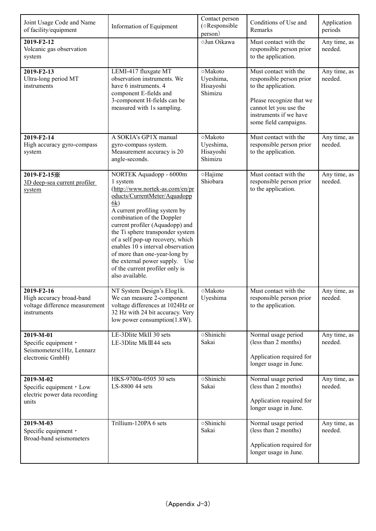| Joint Usage Code and Name<br>of facility/equipment                                      | Information of Equipment                                                                                                                                                                                                                                                                                                                                                                                                                              | Contact person<br>(oResponsible<br>person)   | Conditions of Use and<br>Remarks                                                                                                                                                  | Application<br>periods  |
|-----------------------------------------------------------------------------------------|-------------------------------------------------------------------------------------------------------------------------------------------------------------------------------------------------------------------------------------------------------------------------------------------------------------------------------------------------------------------------------------------------------------------------------------------------------|----------------------------------------------|-----------------------------------------------------------------------------------------------------------------------------------------------------------------------------------|-------------------------|
| 2019-F2-12<br>Volcanic gas observation<br>system                                        |                                                                                                                                                                                                                                                                                                                                                                                                                                                       | oJun Oikawa                                  | Must contact with the<br>responsible person prior<br>to the application.                                                                                                          | Any time, as<br>needed. |
| 2019-F2-13<br>Ultra-long period MT<br>instruments                                       | LEMI-417 fluxgate MT<br>observation instruments. We<br>have 6 instruments. 4<br>component E-fields and<br>3-component H-fields can be<br>measured with 1s sampling.                                                                                                                                                                                                                                                                                   | ○Makoto<br>Uyeshima,<br>Hisayoshi<br>Shimizu | Must contact with the<br>responsible person prior<br>to the application.<br>Please recognize that we<br>cannot let you use the<br>instruments if we have<br>some field campaigns. | Any time, as<br>needed. |
| 2019-F2-14<br>High accuracy gyro-compass<br>system                                      | A SOKIA's GP1X manual<br>gyro-compass system.<br>Measurement accuracy is 20<br>angle-seconds.                                                                                                                                                                                                                                                                                                                                                         | ○Makoto<br>Uyeshima,<br>Hisayoshi<br>Shimizu | Must contact with the<br>responsible person prior<br>to the application.                                                                                                          | Any time, as<br>needed. |
| 2019-F2-15※<br>3D deep-sea current profiler<br>system                                   | NORTEK Aquadopp - 6000m<br>1 system<br>(http://www.nortek-as.com/en/pr<br>oducts/CurrentMeter/Aquadopp<br>6k)<br>A current profiling system by<br>combination of the Doppler<br>current profiler (Aquadopp) and<br>the Ti sphere transponder system<br>of a self pop-up recovery, which<br>enables 10 s interval observation<br>of more than one-year-long by<br>the external power supply. Use<br>of the current profiler only is<br>also available. | oHajime<br>Shiobara                          | Must contact with the<br>responsible person prior<br>to the application.                                                                                                          | Any time, as<br>needed. |
| 2019-F2-16<br>High accuracy broad-band<br>voltage difference measurement<br>instruments | NT System Design's Elog1k.<br>We can measure 2-component<br>voltage differences at 1024Hz or<br>32 Hz with 24 bit accuracy. Very<br>low power consumption(1.8W).                                                                                                                                                                                                                                                                                      | ○Makoto<br>Uyeshima                          | Must contact with the<br>responsible person prior<br>to the application.                                                                                                          | Any time, as<br>needed. |
| 2019-M-01<br>Specific equipment ·<br>Seismometers(1Hz, Lennarz<br>electronic GmbH)      | LE-3Dlite MkII 30 sets<br>LE-3Dlite MkIII44 sets                                                                                                                                                                                                                                                                                                                                                                                                      | <b>Shinichi</b><br>Sakai                     | Normal usage period<br>(less than 2 months)<br>Application required for<br>longer usage in June.                                                                                  | Any time, as<br>needed. |
| 2019-M-02<br>Specific equipment • Low<br>electric power data recording<br>units         | HKS-9700a-0505 30 sets<br>LS-8800 44 sets                                                                                                                                                                                                                                                                                                                                                                                                             | <b>Shinichi</b><br>Sakai                     | Normal usage period<br>(less than 2 months)<br>Application required for<br>longer usage in June.                                                                                  | Any time, as<br>needed. |
| 2019-M-03<br>Specific equipment •<br>Broad-band seismometers                            | Trillium-120PA 6 sets                                                                                                                                                                                                                                                                                                                                                                                                                                 | <b>Shinichi</b><br>Sakai                     | Normal usage period<br>(less than 2 months)<br>Application required for<br>longer usage in June.                                                                                  | Any time, as<br>needed. |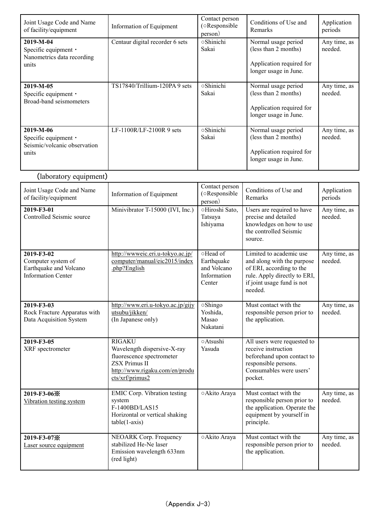| Joint Usage Code and Name<br>of facility/equipment                               | Information of Equipment        | Contact person<br>(oResponsible)<br>person) | Conditions of Use and<br><b>Remarks</b>                                                          | Application<br>periods  |
|----------------------------------------------------------------------------------|---------------------------------|---------------------------------------------|--------------------------------------------------------------------------------------------------|-------------------------|
| $2019-M-04$<br>Specific equipment •<br>Nanometrics data recording<br>units       | Centaur digital recorder 6 sets | ○Shinichi<br>Sakai                          | Normal usage period<br>(less than 2 months)<br>Application required for<br>longer usage in June. | Any time, as<br>needed. |
| $2019-M-05$<br>Specific equipment $\cdot$<br>Broad-band seismometers             | TS17840/Trillium-120PA 9 sets   | ○Shinichi<br>Sakai                          | Normal usage period<br>(less than 2 months)<br>Application required for<br>longer usage in June. | Any time, as<br>needed. |
| 2019-M-06<br>Specific equipment $\cdot$<br>Seismic/volcanic observation<br>units | $LF-1100R/LF-2100R9$ sets       | <b>Shinichi</b><br>Sakai                    | Normal usage period<br>(less than 2 months)<br>Application required for<br>longer usage in June. | Any time, as<br>needed. |

## (laboratory equipment)

| Joint Usage Code and Name<br>of facility/equipment                                      | Information of Equipment                                                                                                                               | Contact person<br>(oResponsible<br>person)                     | Conditions of Use and<br>Remarks                                                                                                                           | Application<br>periods  |
|-----------------------------------------------------------------------------------------|--------------------------------------------------------------------------------------------------------------------------------------------------------|----------------------------------------------------------------|------------------------------------------------------------------------------------------------------------------------------------------------------------|-------------------------|
| 2019-F3-01<br>Controlled Seismic source                                                 | Minivibrator T-15000 (IVI, Inc.)                                                                                                                       | ○Hiroshi Sato,<br>Tatsuya<br>Ishiyama                          | Users are required to have<br>precise and detailed<br>knowledges on how to use<br>the controlled Seismic<br>source.                                        | Any time, as<br>needed. |
| 2019-F3-02<br>Computer system of<br>Earthquake and Volcano<br><b>Information Center</b> | http://wwweic.eri.u-tokyo.ac.jp/<br>computer/manual/eic2015/index<br>.php?English                                                                      | ○Head of<br>Earthquake<br>and Volcano<br>Information<br>Center | Limited to academic use<br>and along with the purpose<br>of ERI, according to the<br>rule. Apply directly to ERI,<br>if joint usage fund is not<br>needed. | Any time, as<br>needed. |
| 2019-F3-03<br>Rock Fracture Apparatus with<br>Data Acquisition System                   | http://www.eri.u-tokyo.ac.jp/gijy<br>utsubu/jikken/<br>(In Japanese only)                                                                              | oShingo<br>Yoshida,<br>Masao<br>Nakatani                       | Must contact with the<br>responsible person prior to<br>the application.                                                                                   | Any time, as<br>needed. |
| 2019-F3-05<br>XRF spectrometer                                                          | <b>RIGAKU</b><br>Wavelength dispersive-X-ray<br>fluorescence spectrometer<br><b>ZSX Primus II</b><br>http://www.rigaku.com/en/produ<br>cts/xrf/primus2 | ○Atsushi<br>Yasuda                                             | All users were requested to<br>receive instruction<br>beforehand upon contact to<br>responsible persons.<br>Consumables were users'<br>pocket.             |                         |
| 2019-F3-06※<br>Vibration testing system                                                 | <b>EMIC Corp. Vibration testing</b><br>system<br>F-1400BD/LAS15<br>Horizontal or vertical shaking<br>$table(1-axis)$                                   | ○ Akito Araya                                                  | Must contact with the<br>responsible person prior to<br>the application. Operate the<br>equipment by yourself in<br>principle.                             | Any time, as<br>needed. |
| 2019-F3-07※<br>Laser source equipment                                                   | NEOARK Corp. Frequency<br>stabilized He-Ne laser<br>Emission wavelength 633nm<br>(red light)                                                           | ○ Akito Araya                                                  | Must contact with the<br>responsible person prior to<br>the application.                                                                                   | Any time, as<br>needed. |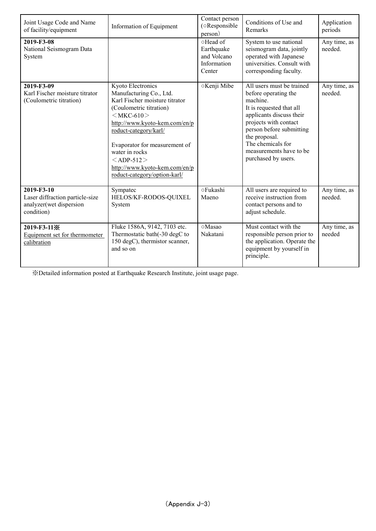| Joint Usage Code and Name<br>of facility/equipment                                     | Information of Equipment                                                                                                                                                                                                                                                                                                      | Contact person<br>(oResponsible<br>person)                     | Conditions of Use and<br>Remarks                                                                                                                                                                                                                                   | Application<br>periods  |
|----------------------------------------------------------------------------------------|-------------------------------------------------------------------------------------------------------------------------------------------------------------------------------------------------------------------------------------------------------------------------------------------------------------------------------|----------------------------------------------------------------|--------------------------------------------------------------------------------------------------------------------------------------------------------------------------------------------------------------------------------------------------------------------|-------------------------|
| 2019-F3-08<br>National Seismogram Data<br>System                                       |                                                                                                                                                                                                                                                                                                                               | ○Head of<br>Earthquake<br>and Volcano<br>Information<br>Center | System to use national<br>seismogram data, jointly<br>operated with Japanese<br>universities. Consult with<br>corresponding faculty.                                                                                                                               | Any time, as<br>needed. |
| 2019-F3-09<br>Karl Fischer moisture titrator<br>(Coulometric titration)                | Kyoto Electronics<br>Manufacturing Co., Ltd.<br>Karl Fischer moisture titrator<br>(Coulometric titration)<br>$<$ MKC-610 $>$<br>http://www.kyoto-kem.com/en/p<br>roduct-category/karl/<br>Evaporator for measurement of<br>water in rocks<br>$<$ ADP-512 $>$<br>http://www.kyoto-kem.com/en/p<br>roduct-category/option-karl/ | ○Kenji Mibe                                                    | All users must be trained<br>before operating the<br>machine.<br>It is requested that all<br>applicants discuss their<br>projects with contact<br>person before submitting<br>the proposal.<br>The chemicals for<br>measurements have to be<br>purchased by users. | Any time, as<br>needed. |
| 2019-F3-10<br>Laser diffraction particle-size<br>analyzer(wet dispersion<br>condition) | Sympatec<br>HELOS/KF-RODOS-QUIXEL<br>System                                                                                                                                                                                                                                                                                   | <b>oFukashi</b><br>Maeno                                       | All users are required to<br>receive instruction from<br>contact persons and to<br>adjust schedule.                                                                                                                                                                | Any time, as<br>needed. |
| 2019-F3-11※<br>Equipment set for thermometer<br>calibration                            | Fluke 1586A, 9142, 7103 etc.<br>Thermostatic bath(-30 degC to<br>150 degC), thermistor scanner,<br>and so on                                                                                                                                                                                                                  | ⊙Masao<br>Nakatani                                             | Must contact with the<br>responsible person prior to<br>the application. Operate the<br>equipment by yourself in<br>principle.                                                                                                                                     | Any time, as<br>needed  |

※Detailed information posted at Earthquake Research Institute, joint usage page.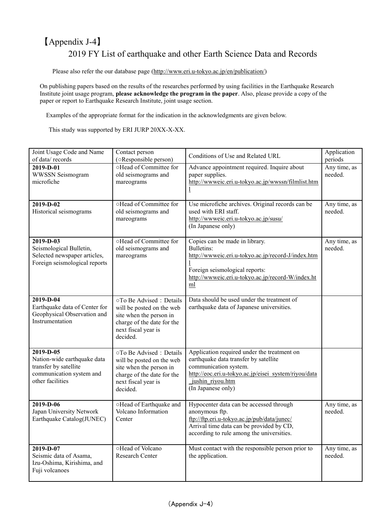## 【Appendix J-4】 2019 FY List of earthquake and other Earth Science Data and Records

Please also refer the our database page [\(http://www.eri.u-tokyo.ac.jp/en/publication/\)](http://www.eri.u-tokyo.ac.jp/en/publication/)

On publishing papers based on the results of the researches performed by using facilities in the Earthquake Research Institute joint usage program, **please acknowledge the program in the paper**. Also, please provide a copy of the paper or report to Earthquake Research Institute, joint usage section.

Examples of the appropriate format for the indication in the acknowledgments are given below.

This study was supported by ERI JURP 20XX-X-XX.

| Joint Usage Code and Name                  | Contact person                                       | Conditions of Use and Related URL                                                       | Application             |
|--------------------------------------------|------------------------------------------------------|-----------------------------------------------------------------------------------------|-------------------------|
| of data/records                            | (oResponsible person)                                |                                                                                         | periods                 |
| 2019-D-01                                  | oHead of Committee for                               | Advance appointment required. Inquire about                                             | Any time, as<br>needed. |
| WWSSN Seismogram<br>microfiche             | old seismograms and<br>mareograms                    | paper supplies.<br>http://wwweic.eri.u-tokyo.ac.jp/wwssn/filmlist.htm                   |                         |
|                                            |                                                      |                                                                                         |                         |
|                                            |                                                      |                                                                                         |                         |
| 2019-D-02                                  | oHead of Committee for                               | Use microfiche archives. Original records can be                                        | Any time, as            |
| Historical seismograms                     | old seismograms and                                  | used with ERI staff.                                                                    | needed.                 |
|                                            | mareograms                                           | http://wwweic.eri.u-tokyo.ac.jp/susu/<br>(In Japanese only)                             |                         |
|                                            |                                                      |                                                                                         |                         |
| 2019-D-03                                  | oHead of Committee for                               | Copies can be made in library.                                                          | Any time, as            |
| Seismological Bulletin,                    | old seismograms and                                  | <b>Bulletins:</b>                                                                       | needed.                 |
| Selected newspaper articles,               | mareograms                                           | http://wwweic.eri.u-tokyo.ac.jp/record-J/index.htm                                      |                         |
| Foreign seismological reports              |                                                      | Foreign seismological reports:                                                          |                         |
|                                            |                                                      | http://wwweic.eri.u-tokyo.ac.jp/record-W/index.ht                                       |                         |
|                                            |                                                      | ml                                                                                      |                         |
|                                            |                                                      |                                                                                         |                         |
| 2019-D-04<br>Earthquake data of Center for | ○To Be Advised: Details                              | Data should be used under the treatment of<br>earthquake data of Japanese universities. |                         |
| Geophysical Observation and                | will be posted on the web<br>site when the person in |                                                                                         |                         |
| Instrumentation                            | charge of the date for the                           |                                                                                         |                         |
|                                            | next fiscal year is                                  |                                                                                         |                         |
|                                            | decided.                                             |                                                                                         |                         |
| 2019-D-05                                  | ○To Be Advised: Details                              | Application required under the treatment on                                             |                         |
| Nation-wide earthquake data                | will be posted on the web                            | earthquake data transfer by satellite                                                   |                         |
| transfer by satellite                      | site when the person in                              | communication system.                                                                   |                         |
| communication system and                   | charge of the date for the                           | http://eoc.eri.u-tokyo.ac.jp/eisei system/riyou/data                                    |                         |
| other facilities                           | next fiscal year is                                  | jushin riyou.htm                                                                        |                         |
|                                            | decided.                                             | (In Japanese only)                                                                      |                         |
| 2019-D-06                                  | ○Head of Earthquake and                              | Hypocenter data can be accessed through                                                 | Any time, as            |
| Japan University Network                   | Volcano Information                                  | anonymous ftp.                                                                          | needed.                 |
| Earthquake Catalog(JUNEC)                  | Center                                               | ftp://ftp.eri.u-tokyo.ac.jp/pub/data/junec/                                             |                         |
|                                            |                                                      | Arrival time data can be provided by CD,                                                |                         |
|                                            |                                                      | according to rule among the universities.                                               |                         |
| $2019 - D - 07$                            | ○Head of Volcano                                     | Must contact with the responsible person prior to                                       | Any time, as            |
| Seismic data of Asama,                     | Research Center                                      | the application.                                                                        | needed.                 |
| Izu-Oshima, Kirishima, and                 |                                                      |                                                                                         |                         |
| Fuji volcanoes                             |                                                      |                                                                                         |                         |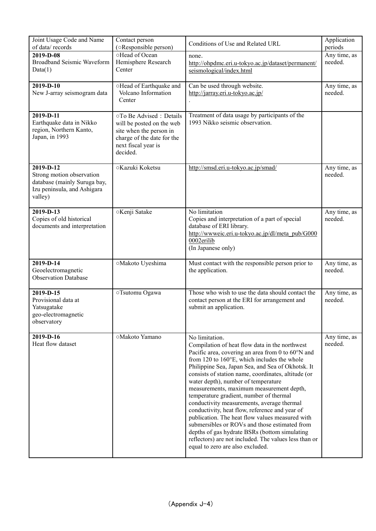| Joint Usage Code and Name<br>of data/records                                                                     | Contact person<br>(oResponsible person)                                                                                                          | Conditions of Use and Related URL                                                                                                                                                                                                                                                                                                                                                                                                                                                                                                                                                                                                                                                                                                                                | Application<br>periods  |
|------------------------------------------------------------------------------------------------------------------|--------------------------------------------------------------------------------------------------------------------------------------------------|------------------------------------------------------------------------------------------------------------------------------------------------------------------------------------------------------------------------------------------------------------------------------------------------------------------------------------------------------------------------------------------------------------------------------------------------------------------------------------------------------------------------------------------------------------------------------------------------------------------------------------------------------------------------------------------------------------------------------------------------------------------|-------------------------|
| 2019-D-08<br>Broadband Seismic Waveform<br>Data(1)                                                               | ○Head of Ocean<br>Hemisphere Research<br>Center                                                                                                  | none.<br>http://ohpdmc.eri.u-tokyo.ac.jp/dataset/permanent/<br>seismological/index.html                                                                                                                                                                                                                                                                                                                                                                                                                                                                                                                                                                                                                                                                          | Any time, as<br>needed. |
| 2019-D-10<br>New J-array seismogram data                                                                         | ○Head of Earthquake and<br>Volcano Information<br>Center                                                                                         | Can be used through website.<br>http://jarray.eri.u-tokyo.ac.jp/                                                                                                                                                                                                                                                                                                                                                                                                                                                                                                                                                                                                                                                                                                 | Any time, as<br>needed. |
| 2019-D-11<br>Earthquake data in Nikko<br>region, Northern Kanto,<br>Japan, in 1993                               | ○To Be Advised: Details<br>will be posted on the web<br>site when the person in<br>charge of the date for the<br>next fiscal year is<br>decided. | Treatment of data usage by participants of the<br>1993 Nikko seismic observation.                                                                                                                                                                                                                                                                                                                                                                                                                                                                                                                                                                                                                                                                                |                         |
| 2019-D-12<br>Strong motion observation<br>database (mainly Suruga bay,<br>Izu peninsula, and Ashigara<br>valley) | ○ Kazuki Koketsu                                                                                                                                 | http://smsd.eri.u-tokyo.ac.jp/smad/                                                                                                                                                                                                                                                                                                                                                                                                                                                                                                                                                                                                                                                                                                                              | Any time, as<br>needed. |
| 2019-D-13<br>Copies of old historical<br>documents and interpretation                                            | ○Kenji Satake                                                                                                                                    | No limitation<br>Copies and interpretation of a part of special<br>database of ERI library.<br>http://wwweic.eri.u-tokyo.ac.jp/dl/meta_pub/G000<br>0002erilib<br>(In Japanese only)                                                                                                                                                                                                                                                                                                                                                                                                                                                                                                                                                                              | Any time, as<br>needed. |
| 2019-D-14<br>Geoelectromagnetic<br><b>Observation Database</b>                                                   | ○Makoto Uyeshima                                                                                                                                 | Must contact with the responsible person prior to<br>the application.                                                                                                                                                                                                                                                                                                                                                                                                                                                                                                                                                                                                                                                                                            | Any time, as<br>needed. |
| 2019-D-15<br>Provisional data at<br>Yatsugatake<br>geo-electromagnetic<br>observatory                            | ○Tsutomu Ogawa                                                                                                                                   | Those who wish to use the data should contact the<br>contact person at the ERI for arrangement and<br>submit an application.                                                                                                                                                                                                                                                                                                                                                                                                                                                                                                                                                                                                                                     | Any time, as<br>needed. |
| 2019-D-16<br>Heat flow dataset                                                                                   | ○Makoto Yamano                                                                                                                                   | No limitation.<br>Compilation of heat flow data in the northwest<br>Pacific area, covering an area from 0 to 60°N and<br>from 120 to 160°E, which includes the whole<br>Philippine Sea, Japan Sea, and Sea of Okhotsk. It<br>consists of station name, coordinates, altitude (or<br>water depth), number of temperature<br>measurements, maximum measurement depth,<br>temperature gradient, number of thermal<br>conductivity measurements, average thermal<br>conductivity, heat flow, reference and year of<br>publication. The heat flow values measured with<br>submersibles or ROVs and those estimated from<br>depths of gas hydrate BSRs (bottom simulating<br>reflectors) are not included. The values less than or<br>equal to zero are also excluded. | Any time, as<br>needed. |